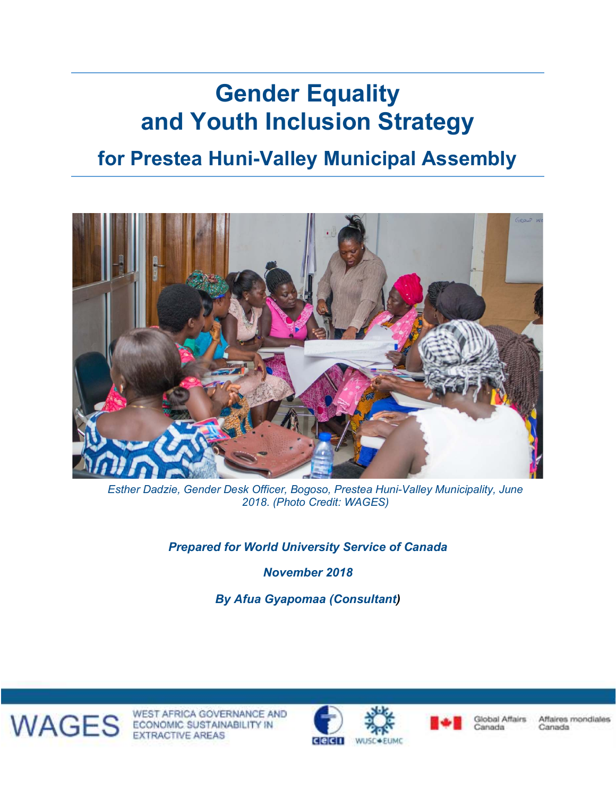# **Gender Equality and Youth Inclusion Strategy**

# **for Prestea Huni-Valley Municipal Assembly**



*Esther Dadzie, Gender Desk Officer, Bogoso, Prestea Huni-Valley Municipality, June 2018. (Photo Credit: WAGES)*

*Prepared for World University Service of Canada*

*November 2018*

*By Afua Gyapomaa (Consultant)* 



WAGES ECONOMIC SUSTAINABILITY IN WEST AFRICA GOVERNANCE AND





**Global Affairs** Canada

Canada

Affaires mondiales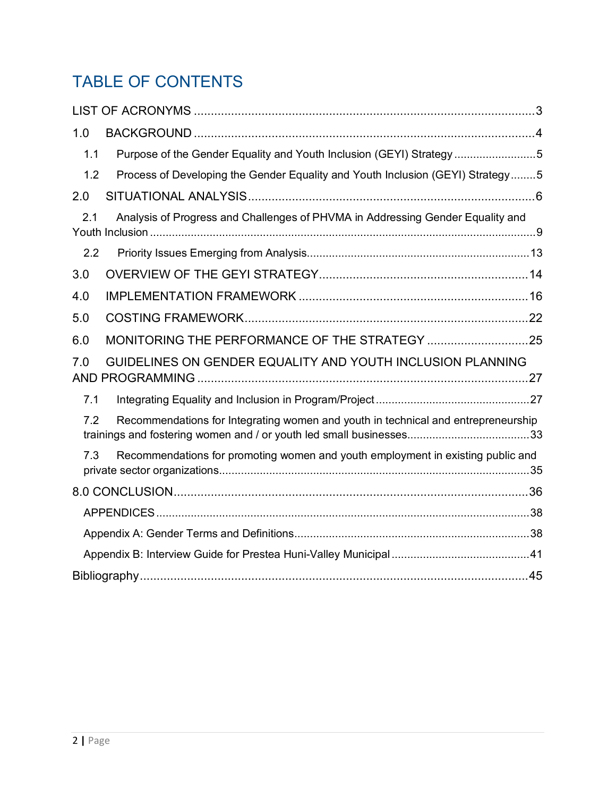# TABLE OF CONTENTS

| 1.0 |                                                                                   |
|-----|-----------------------------------------------------------------------------------|
| 1.1 | Purpose of the Gender Equality and Youth Inclusion (GEYI) Strategy5               |
| 1.2 | Process of Developing the Gender Equality and Youth Inclusion (GEYI) Strategy5    |
| 2.0 |                                                                                   |
| 2.1 | Analysis of Progress and Challenges of PHVMA in Addressing Gender Equality and    |
| 2.2 |                                                                                   |
| 3.0 |                                                                                   |
| 4.0 |                                                                                   |
| 5.0 |                                                                                   |
| 6.0 | MONITORING THE PERFORMANCE OF THE STRATEGY 25                                     |
| 7.0 | GUIDELINES ON GENDER EQUALITY AND YOUTH INCLUSION PLANNING                        |
| 7.1 |                                                                                   |
| 7.2 | Recommendations for Integrating women and youth in technical and entrepreneurship |
| 7.3 | Recommendations for promoting women and youth employment in existing public and   |
|     |                                                                                   |
|     |                                                                                   |
|     |                                                                                   |
|     |                                                                                   |
|     |                                                                                   |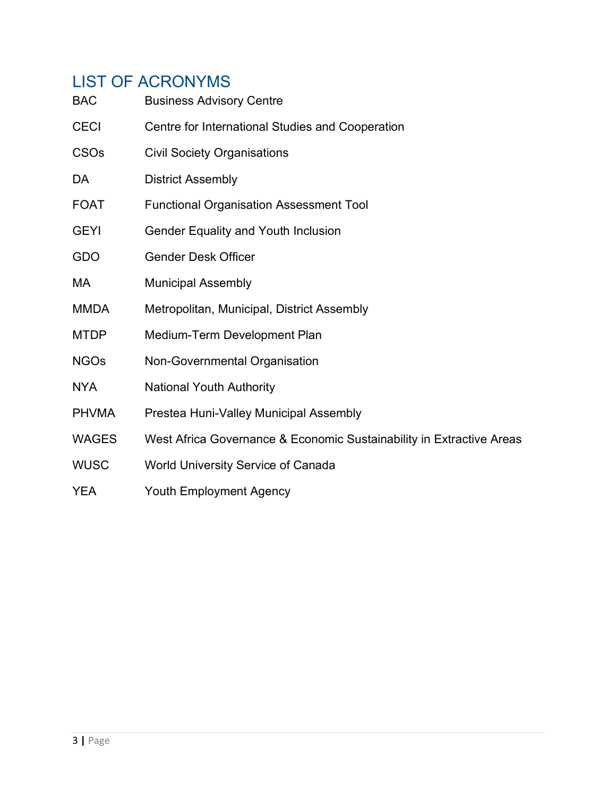# LIST OF ACRONYMS

| <b>BAC</b>   | <b>Business Advisory Centre</b>                                      |
|--------------|----------------------------------------------------------------------|
| <b>CECI</b>  | Centre for International Studies and Cooperation                     |
| <b>CSOs</b>  | <b>Civil Society Organisations</b>                                   |
| DA           | <b>District Assembly</b>                                             |
| <b>FOAT</b>  | <b>Functional Organisation Assessment Tool</b>                       |
| <b>GEYI</b>  | Gender Equality and Youth Inclusion                                  |
| GDO          | <b>Gender Desk Officer</b>                                           |
| МA           | <b>Municipal Assembly</b>                                            |
| <b>MMDA</b>  | Metropolitan, Municipal, District Assembly                           |
| <b>MTDP</b>  | Medium-Term Development Plan                                         |
| <b>NGOs</b>  | Non-Governmental Organisation                                        |
| <b>NYA</b>   | <b>National Youth Authority</b>                                      |
| <b>PHVMA</b> | Prestea Huni-Valley Municipal Assembly                               |
| <b>WAGES</b> | West Africa Governance & Economic Sustainability in Extractive Areas |
| <b>WUSC</b>  | <b>World University Service of Canada</b>                            |
| <b>YEA</b>   | <b>Youth Employment Agency</b>                                       |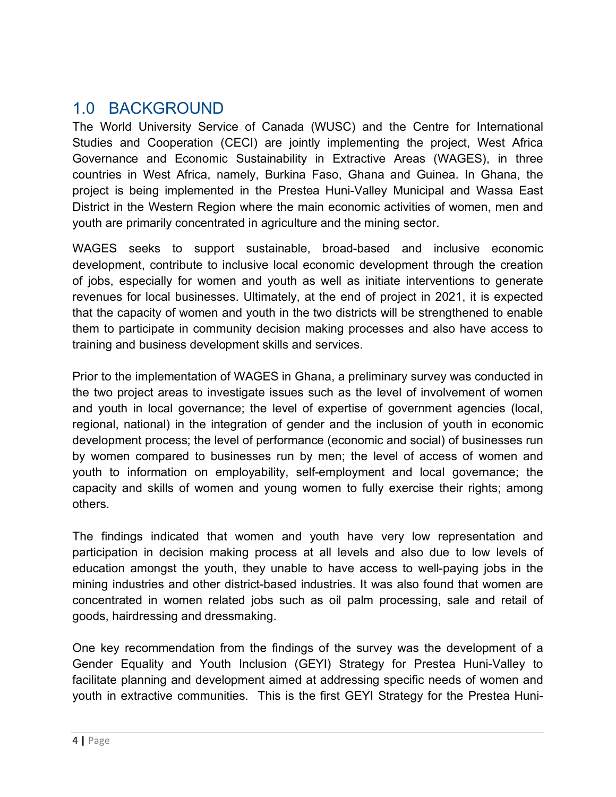# 1.0 BACKGROUND

The World University Service of Canada (WUSC) and the Centre for International Studies and Cooperation (CECI) are jointly implementing the project, West Africa Governance and Economic Sustainability in Extractive Areas (WAGES), in three countries in West Africa, namely, Burkina Faso, Ghana and Guinea. In Ghana, the project is being implemented in the Prestea Huni-Valley Municipal and Wassa East District in the Western Region where the main economic activities of women, men and youth are primarily concentrated in agriculture and the mining sector.

WAGES seeks to support sustainable, broad-based and inclusive economic development, contribute to inclusive local economic development through the creation of jobs, especially for women and youth as well as initiate interventions to generate revenues for local businesses. Ultimately, at the end of project in 2021, it is expected that the capacity of women and youth in the two districts will be strengthened to enable them to participate in community decision making processes and also have access to training and business development skills and services.

Prior to the implementation of WAGES in Ghana, a preliminary survey was conducted in the two project areas to investigate issues such as the level of involvement of women and youth in local governance; the level of expertise of government agencies (local, regional, national) in the integration of gender and the inclusion of youth in economic development process; the level of performance (economic and social) of businesses run by women compared to businesses run by men; the level of access of women and youth to information on employability, self-employment and local governance; the capacity and skills of women and young women to fully exercise their rights; among others.

The findings indicated that women and youth have very low representation and participation in decision making process at all levels and also due to low levels of education amongst the youth, they unable to have access to well-paying jobs in the mining industries and other district-based industries. It was also found that women are concentrated in women related jobs such as oil palm processing, sale and retail of goods, hairdressing and dressmaking.

One key recommendation from the findings of the survey was the development of a Gender Equality and Youth Inclusion (GEYI) Strategy for Prestea Huni-Valley to facilitate planning and development aimed at addressing specific needs of women and youth in extractive communities. This is the first GEYI Strategy for the Prestea Huni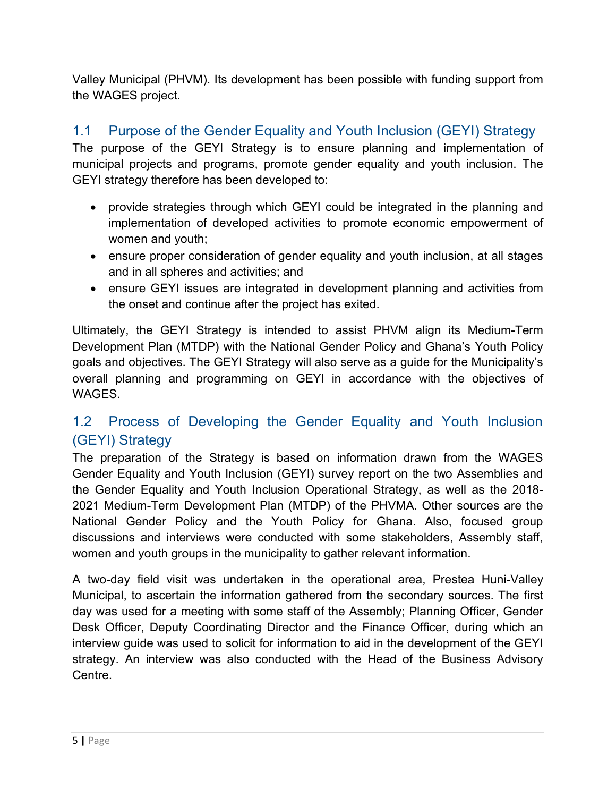Valley Municipal (PHVM). Its development has been possible with funding support from the WAGES project.

### 1.1 Purpose of the Gender Equality and Youth Inclusion (GEYI) Strategy

The purpose of the GEYI Strategy is to ensure planning and implementation of municipal projects and programs, promote gender equality and youth inclusion. The GEYI strategy therefore has been developed to:

- provide strategies through which GEYI could be integrated in the planning and implementation of developed activities to promote economic empowerment of women and youth;
- ensure proper consideration of gender equality and youth inclusion, at all stages and in all spheres and activities; and
- ensure GEYI issues are integrated in development planning and activities from the onset and continue after the project has exited.

Ultimately, the GEYI Strategy is intended to assist PHVM align its Medium-Term Development Plan (MTDP) with the National Gender Policy and Ghana's Youth Policy goals and objectives. The GEYI Strategy will also serve as a guide for the Municipality's overall planning and programming on GEYI in accordance with the objectives of WAGES.

## 1.2 Process of Developing the Gender Equality and Youth Inclusion (GEYI) Strategy

The preparation of the Strategy is based on information drawn from the WAGES Gender Equality and Youth Inclusion (GEYI) survey report on the two Assemblies and the Gender Equality and Youth Inclusion Operational Strategy, as well as the 2018- 2021 Medium-Term Development Plan (MTDP) of the PHVMA. Other sources are the National Gender Policy and the Youth Policy for Ghana. Also, focused group discussions and interviews were conducted with some stakeholders, Assembly staff, women and youth groups in the municipality to gather relevant information.

A two-day field visit was undertaken in the operational area, Prestea Huni-Valley Municipal, to ascertain the information gathered from the secondary sources. The first day was used for a meeting with some staff of the Assembly; Planning Officer, Gender Desk Officer, Deputy Coordinating Director and the Finance Officer, during which an interview guide was used to solicit for information to aid in the development of the GEYI strategy. An interview was also conducted with the Head of the Business Advisory Centre.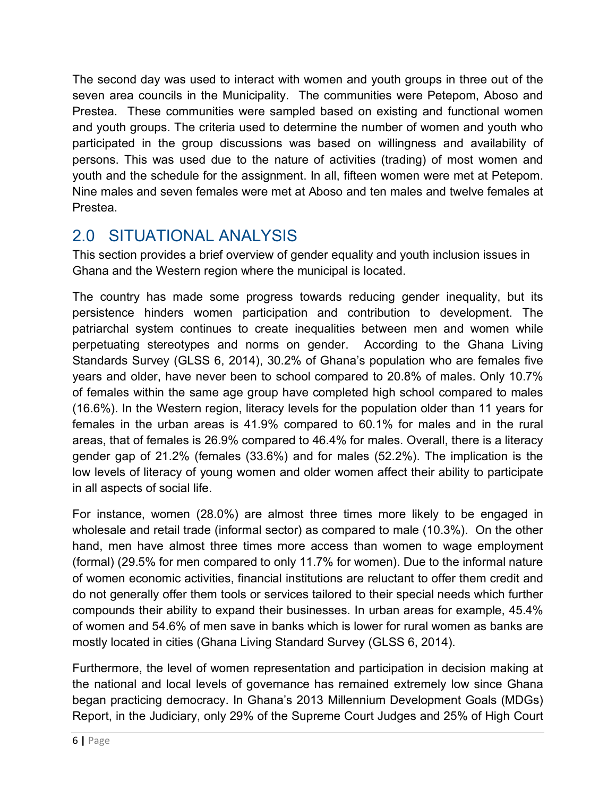The second day was used to interact with women and youth groups in three out of the seven area councils in the Municipality. The communities were Petepom, Aboso and Prestea. These communities were sampled based on existing and functional women and youth groups. The criteria used to determine the number of women and youth who participated in the group discussions was based on willingness and availability of persons. This was used due to the nature of activities (trading) of most women and youth and the schedule for the assignment. In all, fifteen women were met at Petepom. Nine males and seven females were met at Aboso and ten males and twelve females at Prestea.

# 2.0 SITUATIONAL ANALYSIS

This section provides a brief overview of gender equality and youth inclusion issues in Ghana and the Western region where the municipal is located.

The country has made some progress towards reducing gender inequality, but its persistence hinders women participation and contribution to development. The patriarchal system continues to create inequalities between men and women while perpetuating stereotypes and norms on gender. According to the Ghana Living Standards Survey (GLSS 6, 2014), 30.2% of Ghana's population who are females five years and older, have never been to school compared to 20.8% of males. Only 10.7% of females within the same age group have completed high school compared to males (16.6%). In the Western region, literacy levels for the population older than 11 years for females in the urban areas is 41.9% compared to 60.1% for males and in the rural areas, that of females is 26.9% compared to 46.4% for males. Overall, there is a literacy gender gap of 21.2% (females (33.6%) and for males (52.2%). The implication is the low levels of literacy of young women and older women affect their ability to participate in all aspects of social life.

For instance, women (28.0%) are almost three times more likely to be engaged in wholesale and retail trade (informal sector) as compared to male (10.3%). On the other hand, men have almost three times more access than women to wage employment (formal) (29.5% for men compared to only 11.7% for women). Due to the informal nature of women economic activities, financial institutions are reluctant to offer them credit and do not generally offer them tools or services tailored to their special needs which further compounds their ability to expand their businesses. In urban areas for example, 45.4% of women and 54.6% of men save in banks which is lower for rural women as banks are mostly located in cities (Ghana Living Standard Survey (GLSS 6, 2014).

Furthermore, the level of women representation and participation in decision making at the national and local levels of governance has remained extremely low since Ghana began practicing democracy. In Ghana's 2013 Millennium Development Goals (MDGs) Report, in the Judiciary, only 29% of the Supreme Court Judges and 25% of High Court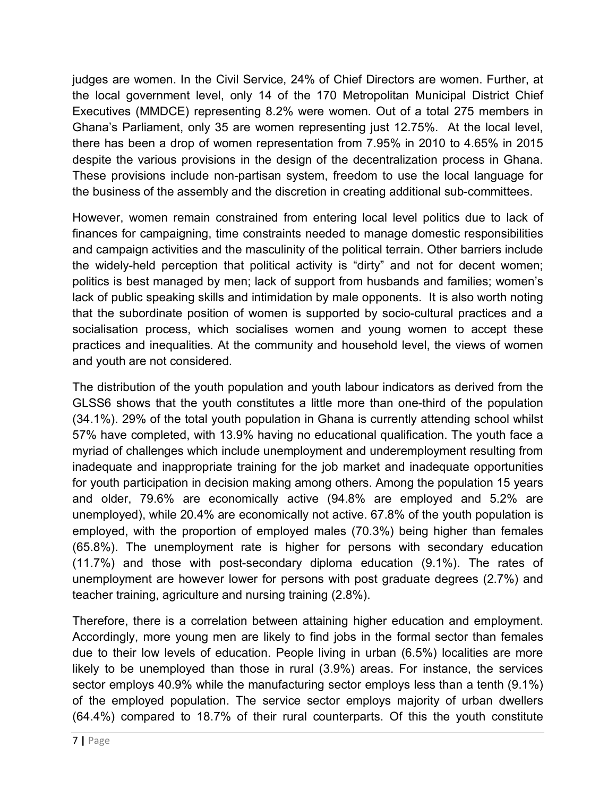judges are women. In the Civil Service, 24% of Chief Directors are women. Further, at the local government level, only 14 of the 170 Metropolitan Municipal District Chief Executives (MMDCE) representing 8.2% were women. Out of a total 275 members in Ghana's Parliament, only 35 are women representing just 12.75%. At the local level, there has been a drop of women representation from 7.95% in 2010 to 4.65% in 2015 despite the various provisions in the design of the decentralization process in Ghana. These provisions include non-partisan system, freedom to use the local language for the business of the assembly and the discretion in creating additional sub-committees.

However, women remain constrained from entering local level politics due to lack of finances for campaigning, time constraints needed to manage domestic responsibilities and campaign activities and the masculinity of the political terrain. Other barriers include the widely-held perception that political activity is "dirty" and not for decent women; politics is best managed by men; lack of support from husbands and families; women's lack of public speaking skills and intimidation by male opponents. It is also worth noting that the subordinate position of women is supported by socio-cultural practices and a socialisation process, which socialises women and young women to accept these practices and inequalities. At the community and household level, the views of women and youth are not considered.

The distribution of the youth population and youth labour indicators as derived from the GLSS6 shows that the youth constitutes a little more than one-third of the population (34.1%). 29% of the total youth population in Ghana is currently attending school whilst 57% have completed, with 13.9% having no educational qualification. The youth face a myriad of challenges which include unemployment and underemployment resulting from inadequate and inappropriate training for the job market and inadequate opportunities for youth participation in decision making among others. Among the population 15 years and older, 79.6% are economically active (94.8% are employed and 5.2% are unemployed), while 20.4% are economically not active. 67.8% of the youth population is employed, with the proportion of employed males (70.3%) being higher than females (65.8%). The unemployment rate is higher for persons with secondary education (11.7%) and those with post-secondary diploma education (9.1%). The rates of unemployment are however lower for persons with post graduate degrees (2.7%) and teacher training, agriculture and nursing training (2.8%).

Therefore, there is a correlation between attaining higher education and employment. Accordingly, more young men are likely to find jobs in the formal sector than females due to their low levels of education. People living in urban (6.5%) localities are more likely to be unemployed than those in rural (3.9%) areas. For instance, the services sector employs 40.9% while the manufacturing sector employs less than a tenth (9.1%) of the employed population. The service sector employs majority of urban dwellers (64.4%) compared to 18.7% of their rural counterparts. Of this the youth constitute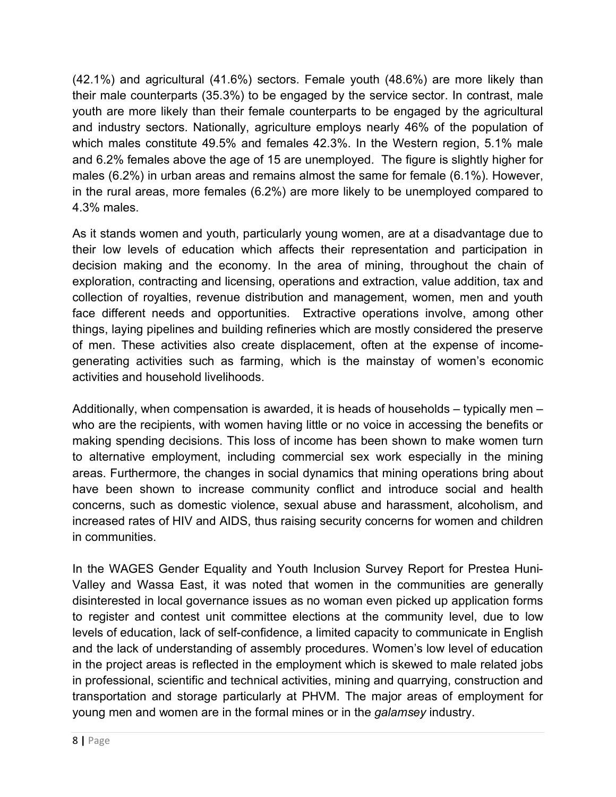(42.1%) and agricultural (41.6%) sectors. Female youth (48.6%) are more likely than their male counterparts (35.3%) to be engaged by the service sector. In contrast, male youth are more likely than their female counterparts to be engaged by the agricultural and industry sectors. Nationally, agriculture employs nearly 46% of the population of which males constitute 49.5% and females 42.3%. In the Western region, 5.1% male and 6.2% females above the age of 15 are unemployed. The figure is slightly higher for males (6.2%) in urban areas and remains almost the same for female (6.1%). However, in the rural areas, more females (6.2%) are more likely to be unemployed compared to 4.3% males.

As it stands women and youth, particularly young women, are at a disadvantage due to their low levels of education which affects their representation and participation in decision making and the economy. In the area of mining, throughout the chain of exploration, contracting and licensing, operations and extraction, value addition, tax and collection of royalties, revenue distribution and management, women, men and youth face different needs and opportunities. Extractive operations involve, among other things, laying pipelines and building refineries which are mostly considered the preserve of men. These activities also create displacement, often at the expense of incomegenerating activities such as farming, which is the mainstay of women's economic activities and household livelihoods.

Additionally, when compensation is awarded, it is heads of households – typically men – who are the recipients, with women having little or no voice in accessing the benefits or making spending decisions. This loss of income has been shown to make women turn to alternative employment, including commercial sex work especially in the mining areas. Furthermore, the changes in social dynamics that mining operations bring about have been shown to increase community conflict and introduce social and health concerns, such as domestic violence, sexual abuse and harassment, alcoholism, and increased rates of HIV and AIDS, thus raising security concerns for women and children in communities.

In the WAGES Gender Equality and Youth Inclusion Survey Report for Prestea Huni-Valley and Wassa East, it was noted that women in the communities are generally disinterested in local governance issues as no woman even picked up application forms to register and contest unit committee elections at the community level, due to low levels of education, lack of self-confidence, a limited capacity to communicate in English and the lack of understanding of assembly procedures. Women's low level of education in the project areas is reflected in the employment which is skewed to male related jobs in professional, scientific and technical activities, mining and quarrying, construction and transportation and storage particularly at PHVM. The major areas of employment for young men and women are in the formal mines or in the *galamsey* industry.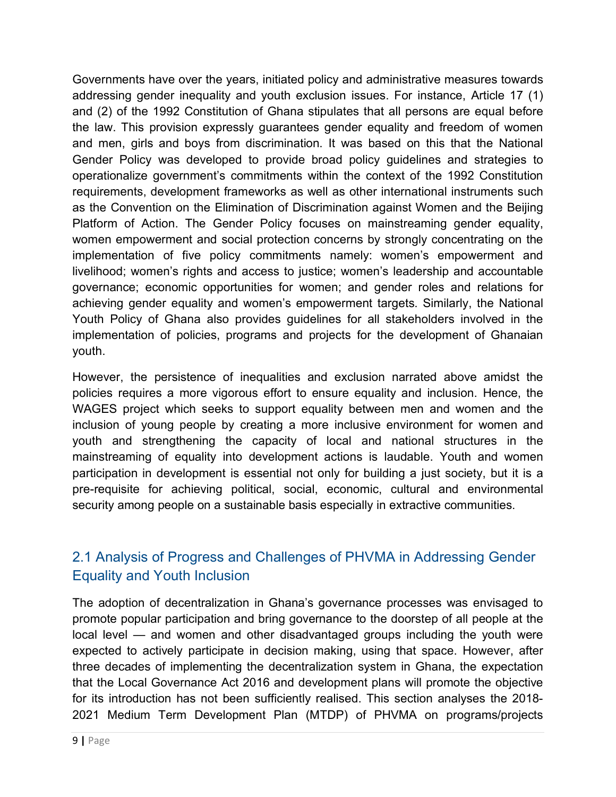Governments have over the years, initiated policy and administrative measures towards addressing gender inequality and youth exclusion issues. For instance, Article 17 (1) and (2) of the 1992 Constitution of Ghana stipulates that all persons are equal before the law. This provision expressly guarantees gender equality and freedom of women and men, girls and boys from discrimination. It was based on this that the National Gender Policy was developed to provide broad policy guidelines and strategies to operationalize government's commitments within the context of the 1992 Constitution requirements, development frameworks as well as other international instruments such as the Convention on the Elimination of Discrimination against Women and the Beijing Platform of Action. The Gender Policy focuses on mainstreaming gender equality, women empowerment and social protection concerns by strongly concentrating on the implementation of five policy commitments namely: women's empowerment and livelihood; women's rights and access to justice; women's leadership and accountable governance; economic opportunities for women; and gender roles and relations for achieving gender equality and women's empowerment targets. Similarly, the National Youth Policy of Ghana also provides guidelines for all stakeholders involved in the implementation of policies, programs and projects for the development of Ghanaian youth.

However, the persistence of inequalities and exclusion narrated above amidst the policies requires a more vigorous effort to ensure equality and inclusion. Hence, the WAGES project which seeks to support equality between men and women and the inclusion of young people by creating a more inclusive environment for women and youth and strengthening the capacity of local and national structures in the mainstreaming of equality into development actions is laudable. Youth and women participation in development is essential not only for building a just society, but it is a pre-requisite for achieving political, social, economic, cultural and environmental security among people on a sustainable basis especially in extractive communities.

## 2.1 Analysis of Progress and Challenges of PHVMA in Addressing Gender Equality and Youth Inclusion

The adoption of decentralization in Ghana's governance processes was envisaged to promote popular participation and bring governance to the doorstep of all people at the local level — and women and other disadvantaged groups including the youth were expected to actively participate in decision making, using that space. However, after three decades of implementing the decentralization system in Ghana, the expectation that the Local Governance Act 2016 and development plans will promote the objective for its introduction has not been sufficiently realised. This section analyses the 2018- 2021 Medium Term Development Plan (MTDP) of PHVMA on programs/projects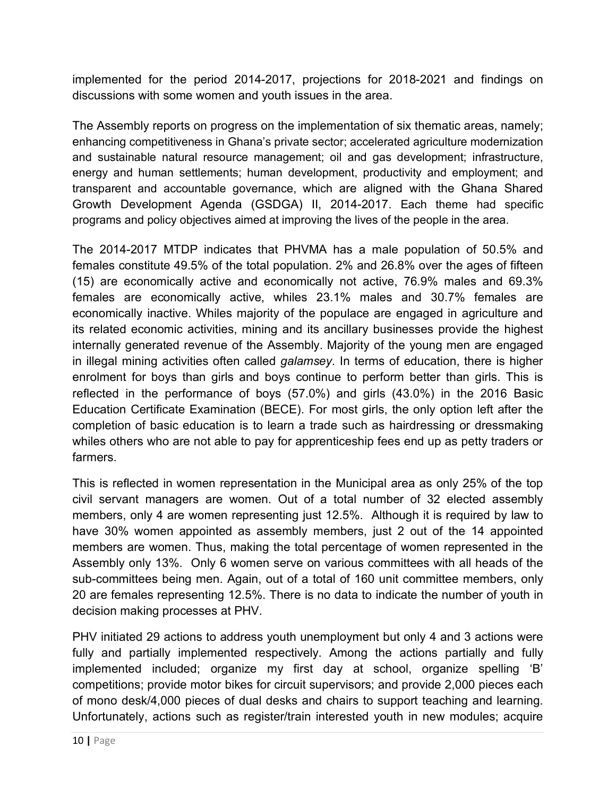implemented for the period 2014-2017, projections for 2018-2021 and findings on discussions with some women and youth issues in the area.

The Assembly reports on progress on the implementation of six thematic areas, namely; enhancing competitiveness in Ghana's private sector; accelerated agriculture modernization and sustainable natural resource management; oil and gas development; infrastructure, energy and human settlements; human development, productivity and employment; and transparent and accountable governance, which are aligned with the Ghana Shared Growth Development Agenda (GSDGA) II, 2014-2017. Each theme had specific programs and policy objectives aimed at improving the lives of the people in the area.

The 2014-2017 MTDP indicates that PHVMA has a male population of 50.5% and females constitute 49.5% of the total population. 2% and 26.8% over the ages of fifteen (15) are economically active and economically not active, 76.9% males and 69.3% females are economically active, whiles 23.1% males and 30.7% females are economically inactive. Whiles majority of the populace are engaged in agriculture and its related economic activities, mining and its ancillary businesses provide the highest internally generated revenue of the Assembly. Majority of the young men are engaged in illegal mining activities often called *galamsey*. In terms of education, there is higher enrolment for boys than girls and boys continue to perform better than girls. This is reflected in the performance of boys (57.0%) and girls (43.0%) in the 2016 Basic Education Certificate Examination (BECE). For most girls, the only option left after the completion of basic education is to learn a trade such as hairdressing or dressmaking whiles others who are not able to pay for apprenticeship fees end up as petty traders or farmers.

This is reflected in women representation in the Municipal area as only 25% of the top civil servant managers are women. Out of a total number of 32 elected assembly members, only 4 are women representing just 12.5%. Although it is required by law to have 30% women appointed as assembly members, just 2 out of the 14 appointed members are women. Thus, making the total percentage of women represented in the Assembly only 13%. Only 6 women serve on various committees with all heads of the sub-committees being men. Again, out of a total of 160 unit committee members, only 20 are females representing 12.5%. There is no data to indicate the number of youth in decision making processes at PHV.

PHV initiated 29 actions to address youth unemployment but only 4 and 3 actions were fully and partially implemented respectively. Among the actions partially and fully implemented included; organize my first day at school, organize spelling 'B' competitions; provide motor bikes for circuit supervisors; and provide 2,000 pieces each of mono desk/4,000 pieces of dual desks and chairs to support teaching and learning. Unfortunately, actions such as register/train interested youth in new modules; acquire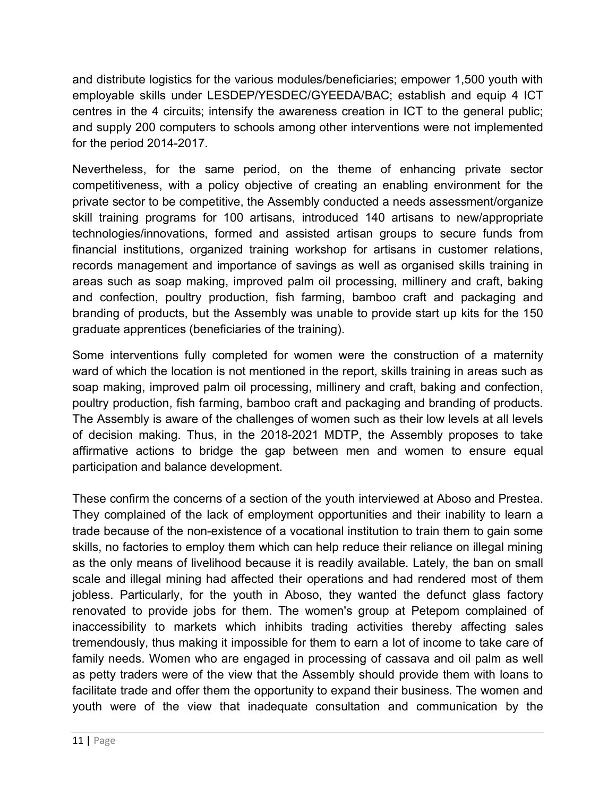and distribute logistics for the various modules/beneficiaries; empower 1,500 youth with employable skills under LESDEP/YESDEC/GYEEDA/BAC; establish and equip 4 ICT centres in the 4 circuits; intensify the awareness creation in ICT to the general public; and supply 200 computers to schools among other interventions were not implemented for the period 2014-2017.

Nevertheless, for the same period, on the theme of enhancing private sector competitiveness, with a policy objective of creating an enabling environment for the private sector to be competitive, the Assembly conducted a needs assessment/organize skill training programs for 100 artisans, introduced 140 artisans to new/appropriate technologies/innovations, formed and assisted artisan groups to secure funds from financial institutions, organized training workshop for artisans in customer relations, records management and importance of savings as well as organised skills training in areas such as soap making, improved palm oil processing, millinery and craft, baking and confection, poultry production, fish farming, bamboo craft and packaging and branding of products, but the Assembly was unable to provide start up kits for the 150 graduate apprentices (beneficiaries of the training).

Some interventions fully completed for women were the construction of a maternity ward of which the location is not mentioned in the report, skills training in areas such as soap making, improved palm oil processing, millinery and craft, baking and confection, poultry production, fish farming, bamboo craft and packaging and branding of products. The Assembly is aware of the challenges of women such as their low levels at all levels of decision making. Thus, in the 2018-2021 MDTP, the Assembly proposes to take affirmative actions to bridge the gap between men and women to ensure equal participation and balance development.

These confirm the concerns of a section of the youth interviewed at Aboso and Prestea. They complained of the lack of employment opportunities and their inability to learn a trade because of the non-existence of a vocational institution to train them to gain some skills, no factories to employ them which can help reduce their reliance on illegal mining as the only means of livelihood because it is readily available. Lately, the ban on small scale and illegal mining had affected their operations and had rendered most of them jobless. Particularly, for the youth in Aboso, they wanted the defunct glass factory renovated to provide jobs for them. The women's group at Petepom complained of inaccessibility to markets which inhibits trading activities thereby affecting sales tremendously, thus making it impossible for them to earn a lot of income to take care of family needs. Women who are engaged in processing of cassava and oil palm as well as petty traders were of the view that the Assembly should provide them with loans to facilitate trade and offer them the opportunity to expand their business. The women and youth were of the view that inadequate consultation and communication by the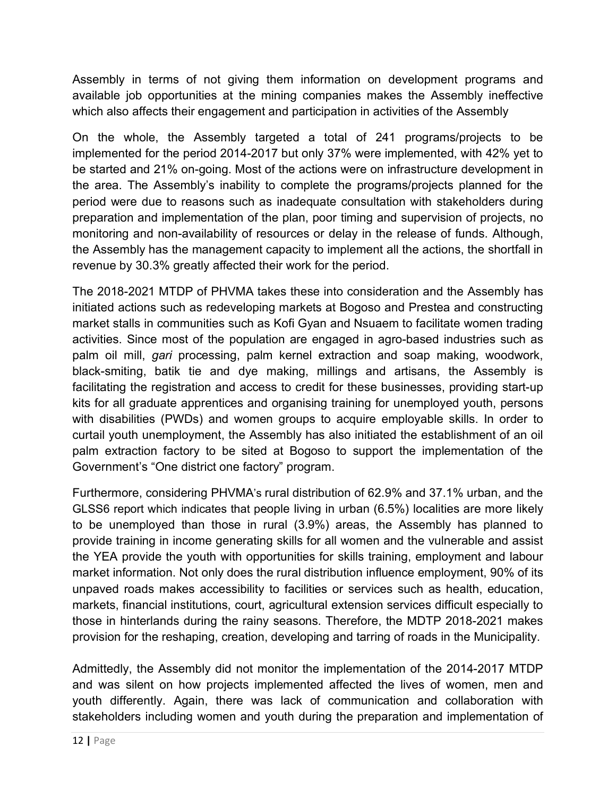Assembly in terms of not giving them information on development programs and available job opportunities at the mining companies makes the Assembly ineffective which also affects their engagement and participation in activities of the Assembly

On the whole, the Assembly targeted a total of 241 programs/projects to be implemented for the period 2014-2017 but only 37% were implemented, with 42% yet to be started and 21% on-going. Most of the actions were on infrastructure development in the area. The Assembly's inability to complete the programs/projects planned for the period were due to reasons such as inadequate consultation with stakeholders during preparation and implementation of the plan, poor timing and supervision of projects, no monitoring and non-availability of resources or delay in the release of funds. Although, the Assembly has the management capacity to implement all the actions, the shortfall in revenue by 30.3% greatly affected their work for the period.

The 2018-2021 MTDP of PHVMA takes these into consideration and the Assembly has initiated actions such as redeveloping markets at Bogoso and Prestea and constructing market stalls in communities such as Kofi Gyan and Nsuaem to facilitate women trading activities. Since most of the population are engaged in agro-based industries such as palm oil mill, *gari* processing, palm kernel extraction and soap making, woodwork, black-smiting, batik tie and dye making, millings and artisans, the Assembly is facilitating the registration and access to credit for these businesses, providing start-up kits for all graduate apprentices and organising training for unemployed youth, persons with disabilities (PWDs) and women groups to acquire employable skills. In order to curtail youth unemployment, the Assembly has also initiated the establishment of an oil palm extraction factory to be sited at Bogoso to support the implementation of the Government's "One district one factory" program.

Furthermore, considering PHVMA's rural distribution of 62.9% and 37.1% urban, and the GLSS6 report which indicates that people living in urban (6.5%) localities are more likely to be unemployed than those in rural (3.9%) areas, the Assembly has planned to provide training in income generating skills for all women and the vulnerable and assist the YEA provide the youth with opportunities for skills training, employment and labour market information. Not only does the rural distribution influence employment, 90% of its unpaved roads makes accessibility to facilities or services such as health, education, markets, financial institutions, court, agricultural extension services difficult especially to those in hinterlands during the rainy seasons. Therefore, the MDTP 2018-2021 makes provision for the reshaping, creation, developing and tarring of roads in the Municipality.

Admittedly, the Assembly did not monitor the implementation of the 2014-2017 MTDP and was silent on how projects implemented affected the lives of women, men and youth differently. Again, there was lack of communication and collaboration with stakeholders including women and youth during the preparation and implementation of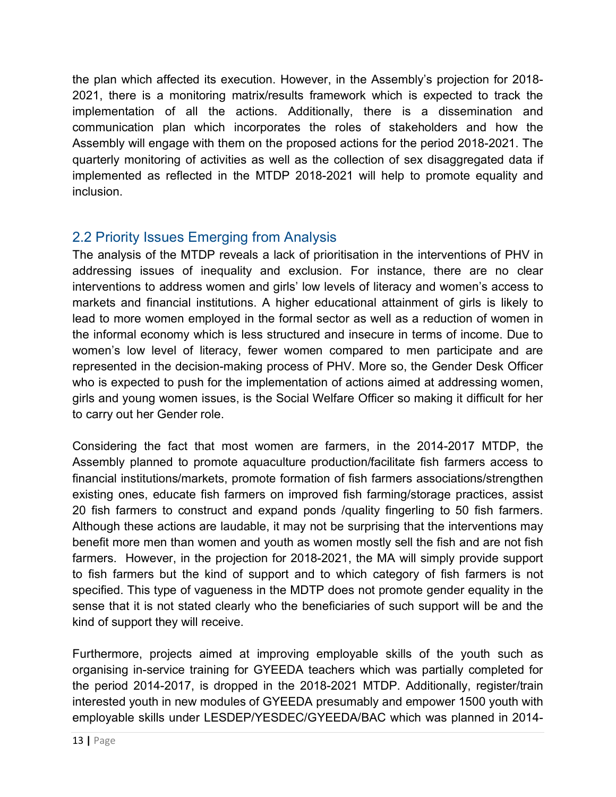the plan which affected its execution. However, in the Assembly's projection for 2018- 2021, there is a monitoring matrix/results framework which is expected to track the implementation of all the actions. Additionally, there is a dissemination and communication plan which incorporates the roles of stakeholders and how the Assembly will engage with them on the proposed actions for the period 2018-2021. The quarterly monitoring of activities as well as the collection of sex disaggregated data if implemented as reflected in the MTDP 2018-2021 will help to promote equality and inclusion.

### 2.2 Priority Issues Emerging from Analysis

The analysis of the MTDP reveals a lack of prioritisation in the interventions of PHV in addressing issues of inequality and exclusion. For instance, there are no clear interventions to address women and girls' low levels of literacy and women's access to markets and financial institutions. A higher educational attainment of girls is likely to lead to more women employed in the formal sector as well as a reduction of women in the informal economy which is less structured and insecure in terms of income. Due to women's low level of literacy, fewer women compared to men participate and are represented in the decision-making process of PHV. More so, the Gender Desk Officer who is expected to push for the implementation of actions aimed at addressing women, girls and young women issues, is the Social Welfare Officer so making it difficult for her to carry out her Gender role.

Considering the fact that most women are farmers, in the 2014-2017 MTDP, the Assembly planned to promote aquaculture production/facilitate fish farmers access to financial institutions/markets, promote formation of fish farmers associations/strengthen existing ones, educate fish farmers on improved fish farming/storage practices, assist 20 fish farmers to construct and expand ponds /quality fingerling to 50 fish farmers. Although these actions are laudable, it may not be surprising that the interventions may benefit more men than women and youth as women mostly sell the fish and are not fish farmers. However, in the projection for 2018-2021, the MA will simply provide support to fish farmers but the kind of support and to which category of fish farmers is not specified. This type of vagueness in the MDTP does not promote gender equality in the sense that it is not stated clearly who the beneficiaries of such support will be and the kind of support they will receive.

Furthermore, projects aimed at improving employable skills of the youth such as organising in-service training for GYEEDA teachers which was partially completed for the period 2014-2017, is dropped in the 2018-2021 MTDP. Additionally, register/train interested youth in new modules of GYEEDA presumably and empower 1500 youth with employable skills under LESDEP/YESDEC/GYEEDA/BAC which was planned in 2014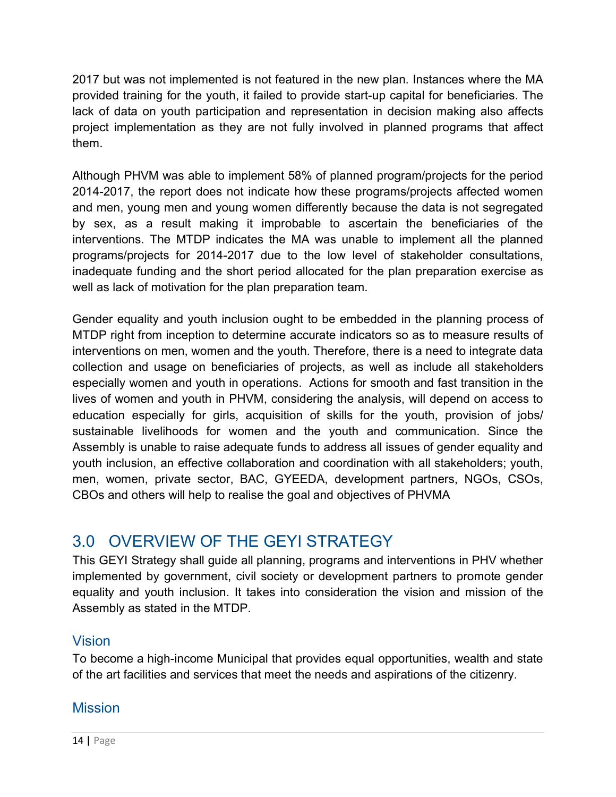2017 but was not implemented is not featured in the new plan. Instances where the MA provided training for the youth, it failed to provide start-up capital for beneficiaries. The lack of data on youth participation and representation in decision making also affects project implementation as they are not fully involved in planned programs that affect them.

Although PHVM was able to implement 58% of planned program/projects for the period 2014-2017, the report does not indicate how these programs/projects affected women and men, young men and young women differently because the data is not segregated by sex, as a result making it improbable to ascertain the beneficiaries of the interventions. The MTDP indicates the MA was unable to implement all the planned programs/projects for 2014-2017 due to the low level of stakeholder consultations, inadequate funding and the short period allocated for the plan preparation exercise as well as lack of motivation for the plan preparation team.

Gender equality and youth inclusion ought to be embedded in the planning process of MTDP right from inception to determine accurate indicators so as to measure results of interventions on men, women and the youth. Therefore, there is a need to integrate data collection and usage on beneficiaries of projects, as well as include all stakeholders especially women and youth in operations. Actions for smooth and fast transition in the lives of women and youth in PHVM, considering the analysis, will depend on access to education especially for girls, acquisition of skills for the youth, provision of jobs/ sustainable livelihoods for women and the youth and communication. Since the Assembly is unable to raise adequate funds to address all issues of gender equality and youth inclusion, an effective collaboration and coordination with all stakeholders; youth, men, women, private sector, BAC, GYEEDA, development partners, NGOs, CSOs, CBOs and others will help to realise the goal and objectives of PHVMA

# 3.0 OVERVIEW OF THE GEYI STRATEGY

This GEYI Strategy shall guide all planning, programs and interventions in PHV whether implemented by government, civil society or development partners to promote gender equality and youth inclusion. It takes into consideration the vision and mission of the Assembly as stated in the MTDP.

## Vision

To become a high-income Municipal that provides equal opportunities, wealth and state of the art facilities and services that meet the needs and aspirations of the citizenry.

### **Mission**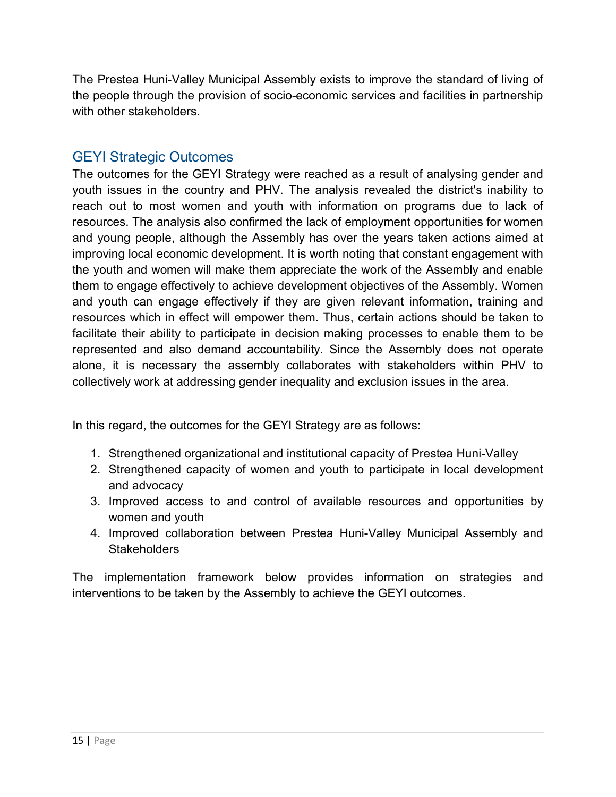The Prestea Huni-Valley Municipal Assembly exists to improve the standard of living of the people through the provision of socio-economic services and facilities in partnership with other stakeholders.

### GEYI Strategic Outcomes

The outcomes for the GEYI Strategy were reached as a result of analysing gender and youth issues in the country and PHV. The analysis revealed the district's inability to reach out to most women and youth with information on programs due to lack of resources. The analysis also confirmed the lack of employment opportunities for women and young people, although the Assembly has over the years taken actions aimed at improving local economic development. It is worth noting that constant engagement with the youth and women will make them appreciate the work of the Assembly and enable them to engage effectively to achieve development objectives of the Assembly. Women and youth can engage effectively if they are given relevant information, training and resources which in effect will empower them. Thus, certain actions should be taken to facilitate their ability to participate in decision making processes to enable them to be represented and also demand accountability. Since the Assembly does not operate alone, it is necessary the assembly collaborates with stakeholders within PHV to collectively work at addressing gender inequality and exclusion issues in the area.

In this regard, the outcomes for the GEYI Strategy are as follows:

- 1. Strengthened organizational and institutional capacity of Prestea Huni-Valley
- 2. Strengthened capacity of women and youth to participate in local development and advocacy
- 3. Improved access to and control of available resources and opportunities by women and youth
- 4. Improved collaboration between Prestea Huni-Valley Municipal Assembly and **Stakeholders**

The implementation framework below provides information on strategies and interventions to be taken by the Assembly to achieve the GEYI outcomes.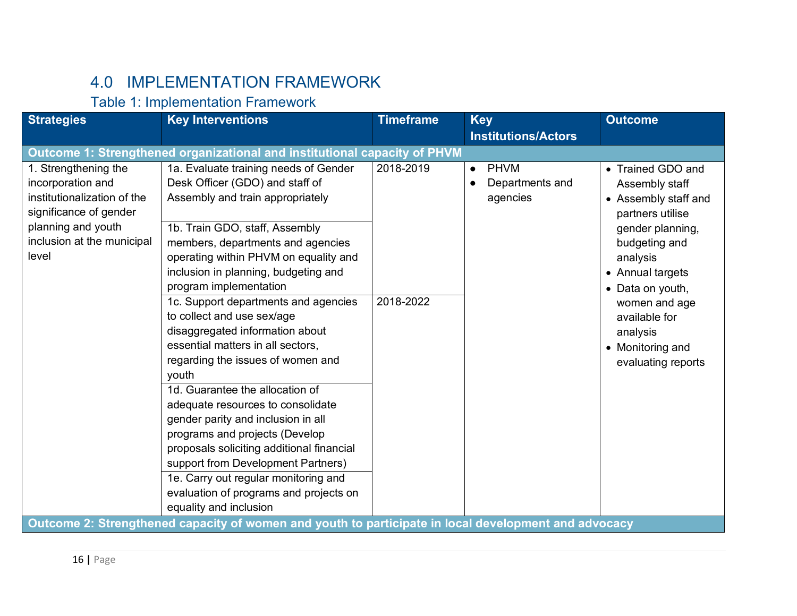# 4.0 IMPLEMENTATION FRAMEWORK

### Table 1: Implementation Framework

| <b>Strategies</b>                                                                                                                                               | <b>Key Interventions</b>                                                                                                                                                                                                                                                                                                                                                                                                                                                                                                                                                                                                                                                                                                                                                                                                                                                                                                                          | <b>Timeframe</b>       | <b>Key</b><br><b>Institutions/Actors</b>                | <b>Outcome</b>                                                                                                                                                                                                                                                   |
|-----------------------------------------------------------------------------------------------------------------------------------------------------------------|---------------------------------------------------------------------------------------------------------------------------------------------------------------------------------------------------------------------------------------------------------------------------------------------------------------------------------------------------------------------------------------------------------------------------------------------------------------------------------------------------------------------------------------------------------------------------------------------------------------------------------------------------------------------------------------------------------------------------------------------------------------------------------------------------------------------------------------------------------------------------------------------------------------------------------------------------|------------------------|---------------------------------------------------------|------------------------------------------------------------------------------------------------------------------------------------------------------------------------------------------------------------------------------------------------------------------|
|                                                                                                                                                                 | Outcome 1: Strengthened organizational and institutional capacity of PHVM                                                                                                                                                                                                                                                                                                                                                                                                                                                                                                                                                                                                                                                                                                                                                                                                                                                                         |                        |                                                         |                                                                                                                                                                                                                                                                  |
| 1. Strengthening the<br>incorporation and<br>institutionalization of the<br>significance of gender<br>planning and youth<br>inclusion at the municipal<br>level | 1a. Evaluate training needs of Gender<br>Desk Officer (GDO) and staff of<br>Assembly and train appropriately<br>1b. Train GDO, staff, Assembly<br>members, departments and agencies<br>operating within PHVM on equality and<br>inclusion in planning, budgeting and<br>program implementation<br>1c. Support departments and agencies<br>to collect and use sex/age<br>disaggregated information about<br>essential matters in all sectors,<br>regarding the issues of women and<br>youth<br>1d. Guarantee the allocation of<br>adequate resources to consolidate<br>gender parity and inclusion in all<br>programs and projects (Develop<br>proposals soliciting additional financial<br>support from Development Partners)<br>1e. Carry out regular monitoring and<br>evaluation of programs and projects on<br>equality and inclusion<br>Outcome 2: Strengthened capacity of women and youth to participate in local development and advocacy | 2018-2019<br>2018-2022 | <b>PHVM</b><br>$\bullet$<br>Departments and<br>agencies | • Trained GDO and<br>Assembly staff<br>• Assembly staff and<br>partners utilise<br>gender planning,<br>budgeting and<br>analysis<br>• Annual targets<br>• Data on youth,<br>women and age<br>available for<br>analysis<br>• Monitoring and<br>evaluating reports |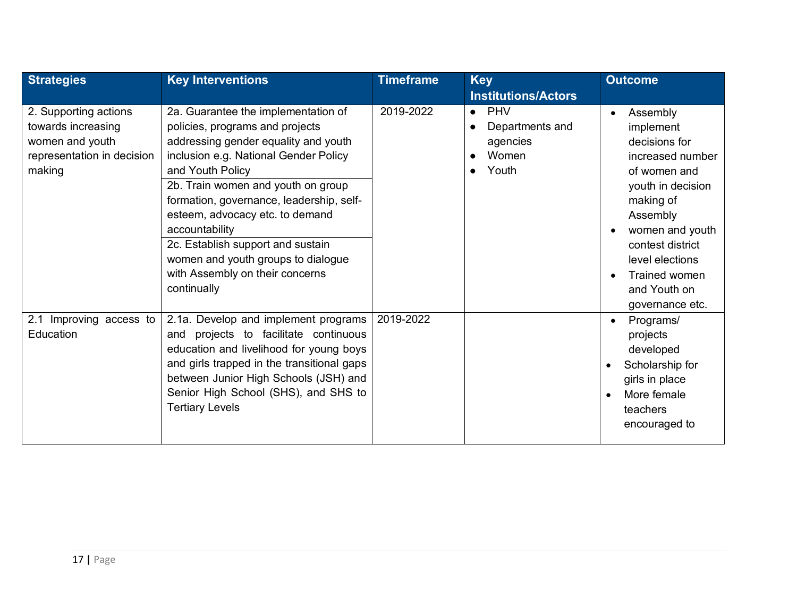| <b>Strategies</b>                                                                                                                 | <b>Key Interventions</b>                                                                                                                                                                                                                                                                                                                                                                                                                                                                | <b>Timeframe</b><br><b>Key</b> |                                                                          | <b>Outcome</b>                                                                                                                                                                                                                         |
|-----------------------------------------------------------------------------------------------------------------------------------|-----------------------------------------------------------------------------------------------------------------------------------------------------------------------------------------------------------------------------------------------------------------------------------------------------------------------------------------------------------------------------------------------------------------------------------------------------------------------------------------|--------------------------------|--------------------------------------------------------------------------|----------------------------------------------------------------------------------------------------------------------------------------------------------------------------------------------------------------------------------------|
|                                                                                                                                   |                                                                                                                                                                                                                                                                                                                                                                                                                                                                                         |                                | <b>Institutions/Actors</b>                                               |                                                                                                                                                                                                                                        |
| 2. Supporting actions<br>towards increasing<br>women and youth<br>representation in decision<br>making<br>2.1 Improving access to | 2a. Guarantee the implementation of<br>policies, programs and projects<br>addressing gender equality and youth<br>inclusion e.g. National Gender Policy<br>and Youth Policy<br>2b. Train women and youth on group<br>formation, governance, leadership, self-<br>esteem, advocacy etc. to demand<br>accountability<br>2c. Establish support and sustain<br>women and youth groups to dialogue<br>with Assembly on their concerns<br>continually<br>2.1a. Develop and implement programs | 2019-2022<br>2019-2022         | <b>PHV</b><br>$\bullet$<br>Departments and<br>agencies<br>Women<br>Youth | Assembly<br>implement<br>decisions for<br>increased number<br>of women and<br>youth in decision<br>making of<br>Assembly<br>women and youth<br>contest district<br>level elections<br>Trained women<br>and Youth on<br>governance etc. |
| Education                                                                                                                         | and projects to facilitate continuous<br>education and livelihood for young boys<br>and girls trapped in the transitional gaps<br>between Junior High Schools (JSH) and<br>Senior High School (SHS), and SHS to<br><b>Tertiary Levels</b>                                                                                                                                                                                                                                               |                                |                                                                          | Programs/<br>projects<br>developed<br>Scholarship for<br>$\bullet$<br>girls in place<br>More female<br>$\bullet$<br>teachers<br>encouraged to                                                                                          |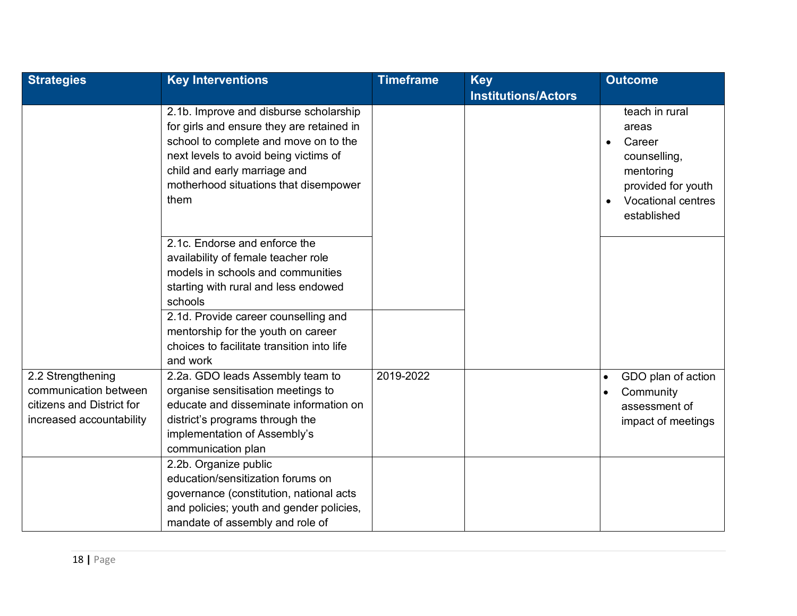| <b>Strategies</b>                                                                                   | <b>Key Interventions</b>                                                                                                                                                                                                                               | <b>Timeframe</b> | <b>Key</b>                 | <b>Outcome</b>                                                                                                                                |
|-----------------------------------------------------------------------------------------------------|--------------------------------------------------------------------------------------------------------------------------------------------------------------------------------------------------------------------------------------------------------|------------------|----------------------------|-----------------------------------------------------------------------------------------------------------------------------------------------|
|                                                                                                     |                                                                                                                                                                                                                                                        |                  | <b>Institutions/Actors</b> |                                                                                                                                               |
|                                                                                                     | 2.1b. Improve and disburse scholarship<br>for girls and ensure they are retained in<br>school to complete and move on to the<br>next levels to avoid being victims of<br>child and early marriage and<br>motherhood situations that disempower<br>them |                  |                            | teach in rural<br>areas<br>Career<br>$\bullet$<br>counselling,<br>mentoring<br>provided for youth<br><b>Vocational centres</b><br>established |
|                                                                                                     | 2.1c. Endorse and enforce the<br>availability of female teacher role<br>models in schools and communities<br>starting with rural and less endowed<br>schools<br>2.1d. Provide career counselling and<br>mentorship for the youth on career             |                  |                            |                                                                                                                                               |
|                                                                                                     | choices to facilitate transition into life<br>and work                                                                                                                                                                                                 |                  |                            |                                                                                                                                               |
| 2.2 Strengthening<br>communication between<br>citizens and District for<br>increased accountability | 2.2a. GDO leads Assembly team to<br>organise sensitisation meetings to<br>educate and disseminate information on<br>district's programs through the<br>implementation of Assembly's<br>communication plan                                              | 2019-2022        |                            | GDO plan of action<br>Community<br>assessment of<br>impact of meetings                                                                        |
|                                                                                                     | 2.2b. Organize public<br>education/sensitization forums on<br>governance (constitution, national acts<br>and policies; youth and gender policies,<br>mandate of assembly and role of                                                                   |                  |                            |                                                                                                                                               |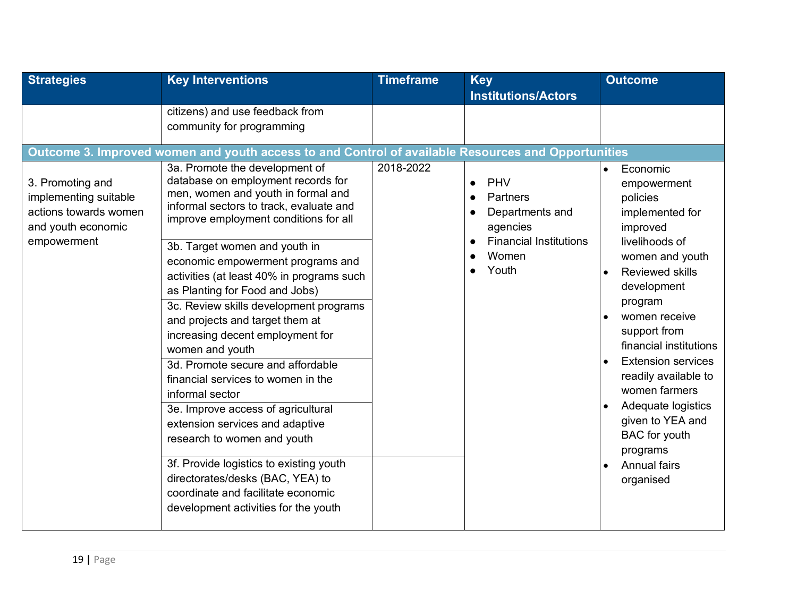| <b>Strategies</b>                                                                                       | <b>Key Interventions</b>                                                                                                                                                                                                                                                                                                                                                                                                                                                                                                                                                                                                                                                                           | <b>Timeframe</b> | <b>Key</b>                                                                                                                                                             | <b>Outcome</b>                                                                                                                                                                                                                                                                |
|---------------------------------------------------------------------------------------------------------|----------------------------------------------------------------------------------------------------------------------------------------------------------------------------------------------------------------------------------------------------------------------------------------------------------------------------------------------------------------------------------------------------------------------------------------------------------------------------------------------------------------------------------------------------------------------------------------------------------------------------------------------------------------------------------------------------|------------------|------------------------------------------------------------------------------------------------------------------------------------------------------------------------|-------------------------------------------------------------------------------------------------------------------------------------------------------------------------------------------------------------------------------------------------------------------------------|
| 3. Promoting and<br>implementing suitable<br>actions towards women<br>and youth economic<br>empowerment | citizens) and use feedback from<br>community for programming<br>Outcome 3. Improved women and youth access to and Control of available Resources and Opportunities<br>3a. Promote the development of<br>database on employment records for<br>men, women and youth in formal and<br>informal sectors to track, evaluate and<br>improve employment conditions for all<br>3b. Target women and youth in<br>economic empowerment programs and<br>activities (at least 40% in programs such<br>as Planting for Food and Jobs)<br>3c. Review skills development programs<br>and projects and target them at<br>increasing decent employment for<br>women and youth<br>3d. Promote secure and affordable | 2018-2022        | <b>Institutions/Actors</b><br>PHV<br>$\bullet$<br>Partners<br>$\bullet$<br>Departments and<br>agencies<br><b>Financial Institutions</b><br>$\bullet$<br>Women<br>Youth | Economic<br>$\bullet$<br>empowerment<br>policies<br>implemented for<br>improved<br>livelihoods of<br>women and youth<br><b>Reviewed skills</b><br>$\bullet$<br>development<br>program<br>women receive<br>support from<br>financial institutions<br><b>Extension services</b> |
|                                                                                                         | financial services to women in the<br>informal sector<br>3e. Improve access of agricultural<br>extension services and adaptive<br>research to women and youth<br>3f. Provide logistics to existing youth<br>directorates/desks (BAC, YEA) to<br>coordinate and facilitate economic<br>development activities for the youth                                                                                                                                                                                                                                                                                                                                                                         |                  |                                                                                                                                                                        | readily available to<br>women farmers<br>Adequate logistics<br>given to YEA and<br><b>BAC</b> for youth<br>programs<br>Annual fairs<br>$\bullet$<br>organised                                                                                                                 |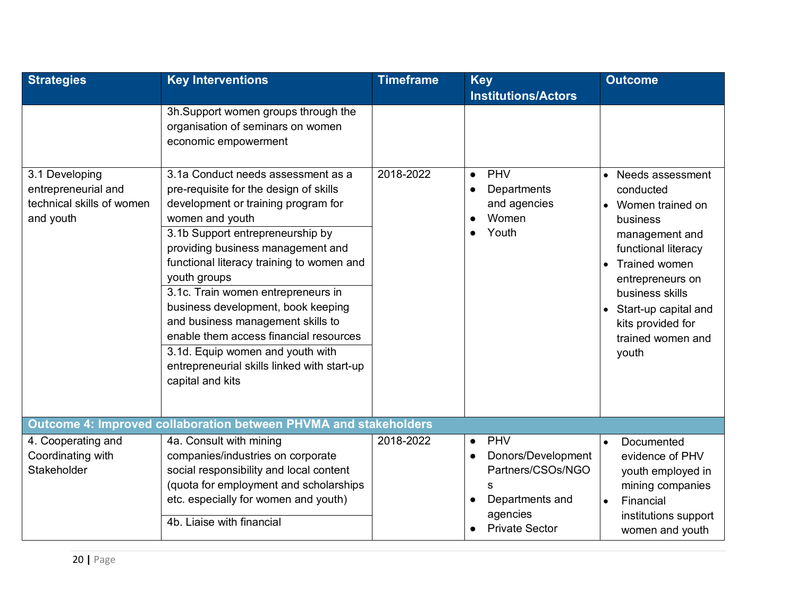| <b>Strategies</b>                                             | <b>Key Interventions</b>                                                                                                                                                                                                                                                                                                                                                                                                                                                                                 | <b>Timeframe</b> | <b>Key</b><br><b>Institutions/Actors</b>      | <b>Outcome</b>                                                                                                                                                                                                                                    |
|---------------------------------------------------------------|----------------------------------------------------------------------------------------------------------------------------------------------------------------------------------------------------------------------------------------------------------------------------------------------------------------------------------------------------------------------------------------------------------------------------------------------------------------------------------------------------------|------------------|-----------------------------------------------|---------------------------------------------------------------------------------------------------------------------------------------------------------------------------------------------------------------------------------------------------|
| 3.1 Developing                                                | 3h.Support women groups through the<br>organisation of seminars on women<br>economic empowerment<br>3.1a Conduct needs assessment as a                                                                                                                                                                                                                                                                                                                                                                   | 2018-2022        | PHV<br>$\bullet$                              | Needs assessment<br>$\bullet$                                                                                                                                                                                                                     |
| entrepreneurial and<br>technical skills of women<br>and youth | pre-requisite for the design of skills<br>development or training program for<br>women and youth<br>3.1b Support entrepreneurship by<br>providing business management and<br>functional literacy training to women and<br>youth groups<br>3.1c. Train women entrepreneurs in<br>business development, book keeping<br>and business management skills to<br>enable them access financial resources<br>3.1d. Equip women and youth with<br>entrepreneurial skills linked with start-up<br>capital and kits |                  | Departments<br>and agencies<br>Women<br>Youth | conducted<br>Women trained on<br>$\bullet$<br>business<br>management and<br>functional literacy<br>Trained women<br>$\bullet$<br>entrepreneurs on<br>business skills<br>• Start-up capital and<br>kits provided for<br>trained women and<br>youth |
|                                                               | Outcome 4: Improved collaboration between PHVMA and stakeholders                                                                                                                                                                                                                                                                                                                                                                                                                                         |                  |                                               |                                                                                                                                                                                                                                                   |
| 4. Cooperating and                                            | 4a. Consult with mining                                                                                                                                                                                                                                                                                                                                                                                                                                                                                  | 2018-2022        | PHV<br>$\bullet$                              | Documented<br>$\bullet$                                                                                                                                                                                                                           |
| Coordinating with<br>Stakeholder                              | companies/industries on corporate<br>social responsibility and local content<br>(quota for employment and scholarships                                                                                                                                                                                                                                                                                                                                                                                   |                  | Donors/Development<br>Partners/CSOs/NGO<br>S  | evidence of PHV<br>youth employed in<br>mining companies                                                                                                                                                                                          |
|                                                               | etc. especially for women and youth)                                                                                                                                                                                                                                                                                                                                                                                                                                                                     |                  | Departments and                               | Financial<br>$\bullet$                                                                                                                                                                                                                            |
|                                                               | 4b. Liaise with financial                                                                                                                                                                                                                                                                                                                                                                                                                                                                                |                  | agencies<br><b>Private Sector</b>             | institutions support<br>women and youth                                                                                                                                                                                                           |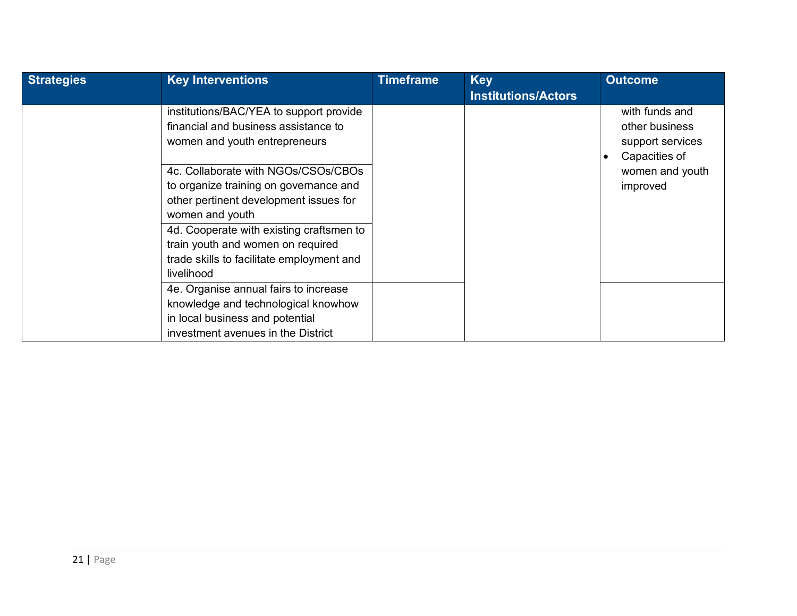| <b>Strategies</b> | <b>Key Interventions</b>                                                                                         | <b>Timeframe</b> | <b>Key</b>                 | <b>Outcome</b>                                                        |
|-------------------|------------------------------------------------------------------------------------------------------------------|------------------|----------------------------|-----------------------------------------------------------------------|
|                   |                                                                                                                  |                  | <b>Institutions/Actors</b> |                                                                       |
|                   | institutions/BAC/YEA to support provide<br>financial and business assistance to<br>women and youth entrepreneurs |                  |                            | with funds and<br>other business<br>support services<br>Capacities of |
|                   | 4c. Collaborate with NGOs/CSOs/CBOs                                                                              |                  |                            | women and youth                                                       |
|                   | to organize training on governance and                                                                           |                  |                            | improved                                                              |
|                   | other pertinent development issues for                                                                           |                  |                            |                                                                       |
|                   | women and youth                                                                                                  |                  |                            |                                                                       |
|                   | 4d. Cooperate with existing craftsmen to                                                                         |                  |                            |                                                                       |
|                   | train youth and women on required                                                                                |                  |                            |                                                                       |
|                   | trade skills to facilitate employment and                                                                        |                  |                            |                                                                       |
|                   | livelihood                                                                                                       |                  |                            |                                                                       |
|                   | 4e. Organise annual fairs to increase                                                                            |                  |                            |                                                                       |
|                   | knowledge and technological knowhow                                                                              |                  |                            |                                                                       |
|                   | in local business and potential                                                                                  |                  |                            |                                                                       |
|                   | investment avenues in the District                                                                               |                  |                            |                                                                       |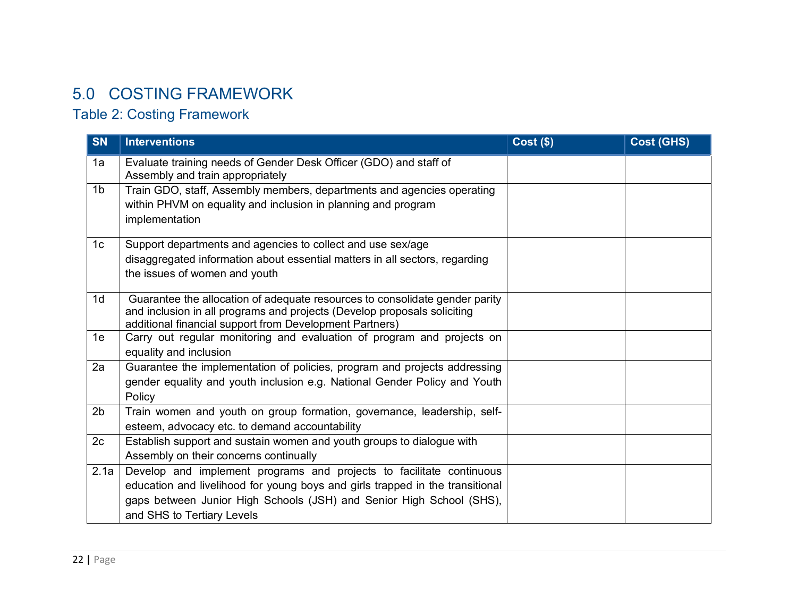# 5.0 COSTING FRAMEWORK

# Table 2: Costing Framework

| <b>SN</b>      | <b>Interventions</b>                                                                                                                                                                                                                                        | <b>Cost (\$)</b> | <b>Cost (GHS)</b> |
|----------------|-------------------------------------------------------------------------------------------------------------------------------------------------------------------------------------------------------------------------------------------------------------|------------------|-------------------|
| 1a             | Evaluate training needs of Gender Desk Officer (GDO) and staff of<br>Assembly and train appropriately                                                                                                                                                       |                  |                   |
| 1 <sub>b</sub> | Train GDO, staff, Assembly members, departments and agencies operating<br>within PHVM on equality and inclusion in planning and program<br>implementation                                                                                                   |                  |                   |
| 1 <sub>c</sub> | Support departments and agencies to collect and use sex/age<br>disaggregated information about essential matters in all sectors, regarding<br>the issues of women and youth                                                                                 |                  |                   |
| 1 <sub>d</sub> | Guarantee the allocation of adequate resources to consolidate gender parity<br>and inclusion in all programs and projects (Develop proposals soliciting<br>additional financial support from Development Partners)                                          |                  |                   |
| 1e             | Carry out regular monitoring and evaluation of program and projects on<br>equality and inclusion                                                                                                                                                            |                  |                   |
| 2a             | Guarantee the implementation of policies, program and projects addressing<br>gender equality and youth inclusion e.g. National Gender Policy and Youth<br>Policy                                                                                            |                  |                   |
| 2 <sub>b</sub> | Train women and youth on group formation, governance, leadership, self-<br>esteem, advocacy etc. to demand accountability                                                                                                                                   |                  |                   |
| 2c             | Establish support and sustain women and youth groups to dialogue with<br>Assembly on their concerns continually                                                                                                                                             |                  |                   |
| 2.1a           | Develop and implement programs and projects to facilitate continuous<br>education and livelihood for young boys and girls trapped in the transitional<br>gaps between Junior High Schools (JSH) and Senior High School (SHS),<br>and SHS to Tertiary Levels |                  |                   |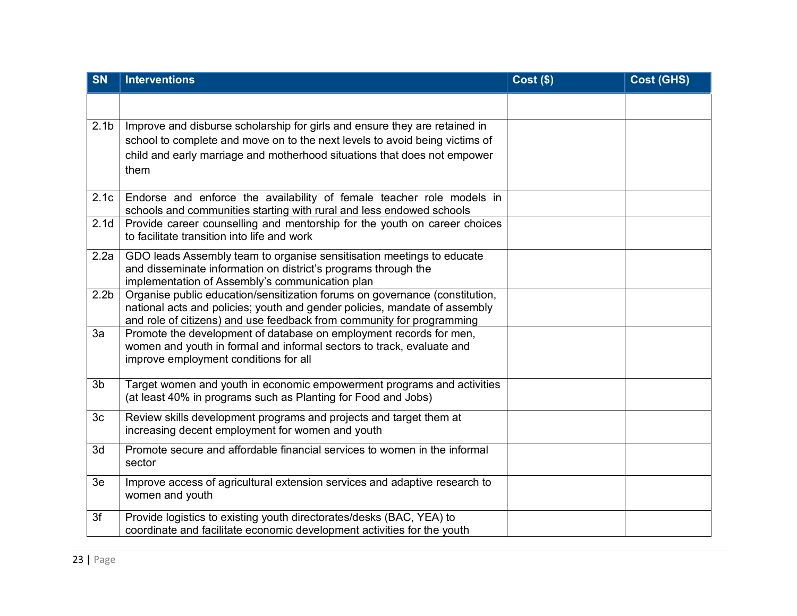| <b>SN</b>        | <b>Interventions</b>                                                                                                                        | <b>Cost (\$)</b> | <b>Cost (GHS)</b> |
|------------------|---------------------------------------------------------------------------------------------------------------------------------------------|------------------|-------------------|
|                  |                                                                                                                                             |                  |                   |
| 2.1 <sub>b</sub> | Improve and disburse scholarship for girls and ensure they are retained in                                                                  |                  |                   |
|                  | school to complete and move on to the next levels to avoid being victims of                                                                 |                  |                   |
|                  | child and early marriage and motherhood situations that does not empower<br>them                                                            |                  |                   |
|                  |                                                                                                                                             |                  |                   |
| 2.1c             | Endorse and enforce the availability of female teacher role models in                                                                       |                  |                   |
| 2.1 <sub>d</sub> | schools and communities starting with rural and less endowed schools                                                                        |                  |                   |
|                  | Provide career counselling and mentorship for the youth on career choices<br>to facilitate transition into life and work                    |                  |                   |
| 2.2a             | GDO leads Assembly team to organise sensitisation meetings to educate                                                                       |                  |                   |
|                  | and disseminate information on district's programs through the<br>implementation of Assembly's communication plan                           |                  |                   |
| 2.2 <sub>b</sub> | Organise public education/sensitization forums on governance (constitution,                                                                 |                  |                   |
|                  | national acts and policies; youth and gender policies, mandate of assembly                                                                  |                  |                   |
|                  | and role of citizens) and use feedback from community for programming                                                                       |                  |                   |
| 3a               | Promote the development of database on employment records for men,<br>women and youth in formal and informal sectors to track, evaluate and |                  |                   |
|                  | improve employment conditions for all                                                                                                       |                  |                   |
|                  |                                                                                                                                             |                  |                   |
| 3 <sub>b</sub>   | Target women and youth in economic empowerment programs and activities                                                                      |                  |                   |
|                  | (at least 40% in programs such as Planting for Food and Jobs)                                                                               |                  |                   |
| 3 <sub>c</sub>   | Review skills development programs and projects and target them at                                                                          |                  |                   |
|                  | increasing decent employment for women and youth                                                                                            |                  |                   |
| 3d               | Promote secure and affordable financial services to women in the informal<br>sector                                                         |                  |                   |
|                  |                                                                                                                                             |                  |                   |
| 3e               | Improve access of agricultural extension services and adaptive research to<br>women and youth                                               |                  |                   |
|                  |                                                                                                                                             |                  |                   |
| 3f               | Provide logistics to existing youth directorates/desks (BAC, YEA) to                                                                        |                  |                   |
|                  | coordinate and facilitate economic development activities for the youth                                                                     |                  |                   |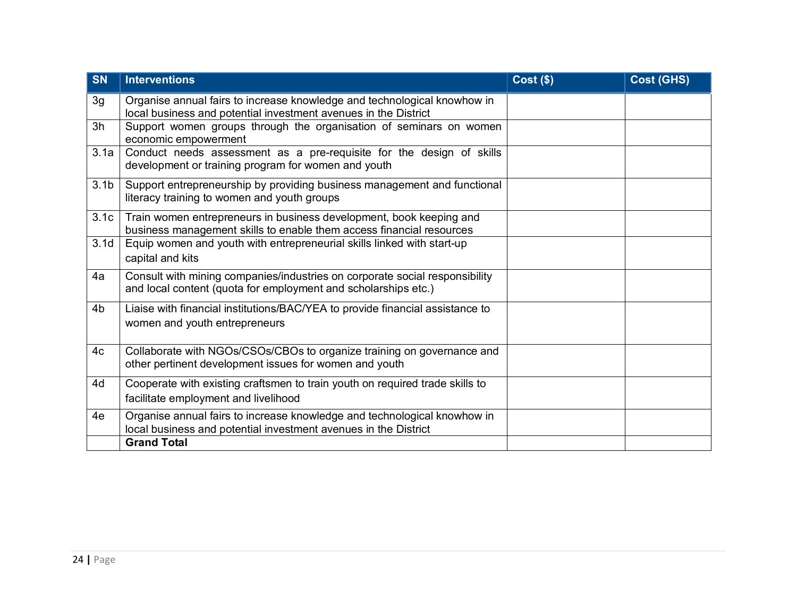| <b>SN</b>        | <b>Interventions</b>                                                                                                                          | $Cost($ \$) | <b>Cost (GHS)</b> |
|------------------|-----------------------------------------------------------------------------------------------------------------------------------------------|-------------|-------------------|
| 3g               | Organise annual fairs to increase knowledge and technological knowhow in<br>local business and potential investment avenues in the District   |             |                   |
| 3h               | Support women groups through the organisation of seminars on women<br>economic empowerment                                                    |             |                   |
| 3.1a             | Conduct needs assessment as a pre-requisite for the design of skills<br>development or training program for women and youth                   |             |                   |
| 3.1 <sub>b</sub> | Support entrepreneurship by providing business management and functional<br>literacy training to women and youth groups                       |             |                   |
| 3.1c             | Train women entrepreneurs in business development, book keeping and<br>business management skills to enable them access financial resources   |             |                   |
| 3.1 <sub>d</sub> | Equip women and youth with entrepreneurial skills linked with start-up<br>capital and kits                                                    |             |                   |
| 4a               | Consult with mining companies/industries on corporate social responsibility<br>and local content (quota for employment and scholarships etc.) |             |                   |
| 4 <sub>b</sub>   | Liaise with financial institutions/BAC/YEA to provide financial assistance to<br>women and youth entrepreneurs                                |             |                   |
| 4c               | Collaborate with NGOs/CSOs/CBOs to organize training on governance and<br>other pertinent development issues for women and youth              |             |                   |
| 4d               | Cooperate with existing craftsmen to train youth on required trade skills to<br>facilitate employment and livelihood                          |             |                   |
| 4e               | Organise annual fairs to increase knowledge and technological knowhow in<br>local business and potential investment avenues in the District   |             |                   |
|                  | <b>Grand Total</b>                                                                                                                            |             |                   |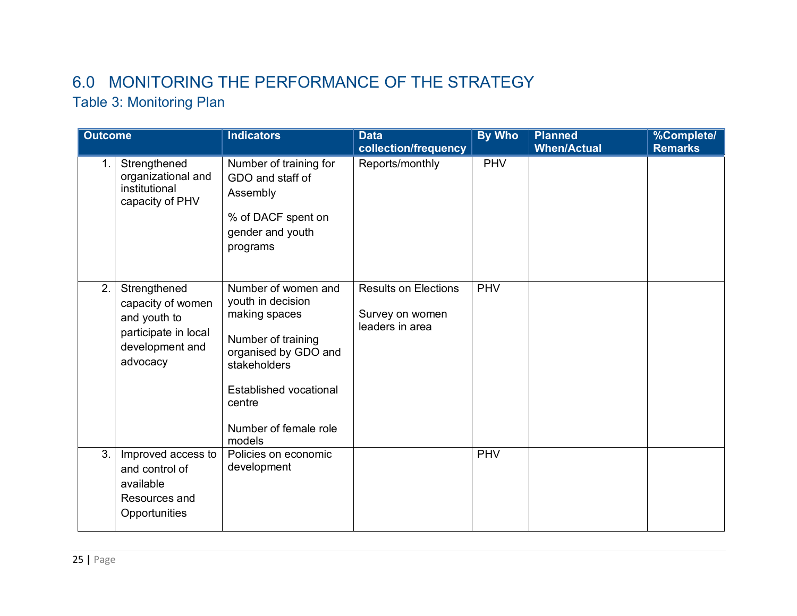# 6.0 MONITORING THE PERFORMANCE OF THE STRATEGY

# Table 3: Monitoring Plan

| <b>Outcome</b>   |                                                                                                          | <b>Indicators</b>                                                                                                                                                                              | <b>Data</b><br>collection/frequency                               | <b>By Who</b> | <b>Planned</b><br><b>When/Actual</b> | %Complete/<br><b>Remarks</b> |
|------------------|----------------------------------------------------------------------------------------------------------|------------------------------------------------------------------------------------------------------------------------------------------------------------------------------------------------|-------------------------------------------------------------------|---------------|--------------------------------------|------------------------------|
| $\mathbf 1$ .    | Strengthened<br>organizational and<br>institutional<br>capacity of PHV                                   | Number of training for<br>GDO and staff of<br>Assembly<br>% of DACF spent on<br>gender and youth<br>programs                                                                                   | Reports/monthly                                                   | <b>PHV</b>    |                                      |                              |
| $\overline{2}$ . | Strengthened<br>capacity of women<br>and youth to<br>participate in local<br>development and<br>advocacy | Number of women and<br>youth in decision<br>making spaces<br>Number of training<br>organised by GDO and<br>stakeholders<br>Established vocational<br>centre<br>Number of female role<br>models | <b>Results on Elections</b><br>Survey on women<br>leaders in area | <b>PHV</b>    |                                      |                              |
| 3.               | Improved access to<br>and control of<br>available<br>Resources and<br>Opportunities                      | Policies on economic<br>development                                                                                                                                                            |                                                                   | <b>PHV</b>    |                                      |                              |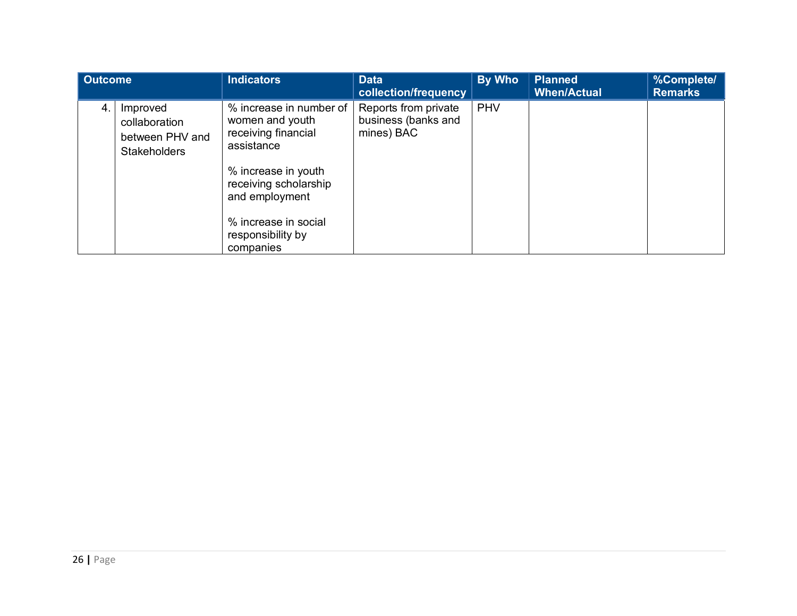| <b>Outcome</b> |                                                                     | <b>Indicators</b>                                                                                                                                                                                           | <b>Data</b><br>collection/frequency                       | By Who     | <b>Planned</b><br><b>When/Actual</b> | %Complete/<br><b>Remarks</b> |
|----------------|---------------------------------------------------------------------|-------------------------------------------------------------------------------------------------------------------------------------------------------------------------------------------------------------|-----------------------------------------------------------|------------|--------------------------------------|------------------------------|
| 4.             | Improved<br>collaboration<br>between PHV and<br><b>Stakeholders</b> | % increase in number of<br>women and youth<br>receiving financial<br>assistance<br>% increase in youth<br>receiving scholarship<br>and employment<br>% increase in social<br>responsibility by<br>companies | Reports from private<br>business (banks and<br>mines) BAC | <b>PHV</b> |                                      |                              |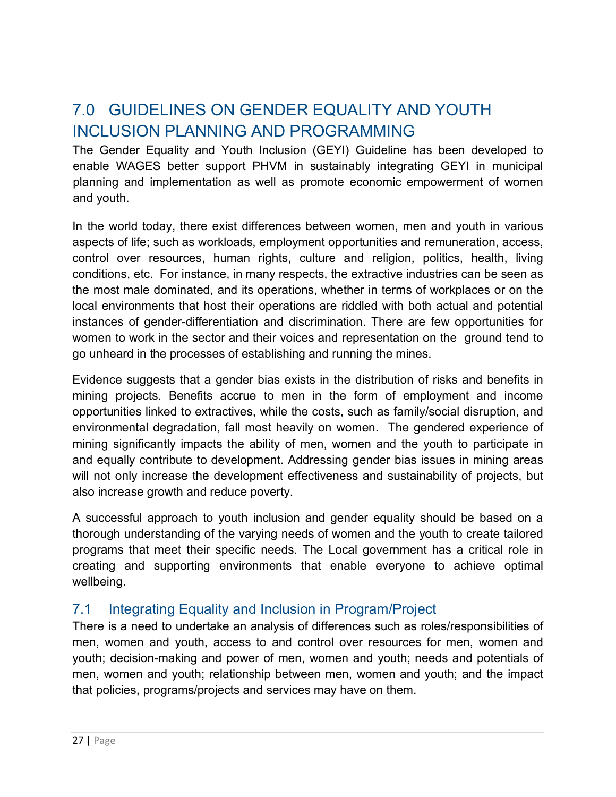# 7.0 GUIDELINES ON GENDER EQUALITY AND YOUTH INCLUSION PLANNING AND PROGRAMMING

The Gender Equality and Youth Inclusion (GEYI) Guideline has been developed to enable WAGES better support PHVM in sustainably integrating GEYI in municipal planning and implementation as well as promote economic empowerment of women and youth.

In the world today, there exist differences between women, men and youth in various aspects of life; such as workloads, employment opportunities and remuneration, access, control over resources, human rights, culture and religion, politics, health, living conditions, etc. For instance, in many respects, the extractive industries can be seen as the most male dominated, and its operations, whether in terms of workplaces or on the local environments that host their operations are riddled with both actual and potential instances of gender-differentiation and discrimination. There are few opportunities for women to work in the sector and their voices and representation on the ground tend to go unheard in the processes of establishing and running the mines.

Evidence suggests that a gender bias exists in the distribution of risks and benefits in mining projects. Benefits accrue to men in the form of employment and income opportunities linked to extractives, while the costs, such as family/social disruption, and environmental degradation, fall most heavily on women. The gendered experience of mining significantly impacts the ability of men, women and the youth to participate in and equally contribute to development. Addressing gender bias issues in mining areas will not only increase the development effectiveness and sustainability of projects, but also increase growth and reduce poverty.

A successful approach to youth inclusion and gender equality should be based on a thorough understanding of the varying needs of women and the youth to create tailored programs that meet their specific needs. The Local government has a critical role in creating and supporting environments that enable everyone to achieve optimal wellbeing.

### 7.1 Integrating Equality and Inclusion in Program/Project

There is a need to undertake an analysis of differences such as roles/responsibilities of men, women and youth, access to and control over resources for men, women and youth; decision-making and power of men, women and youth; needs and potentials of men, women and youth; relationship between men, women and youth; and the impact that policies, programs/projects and services may have on them.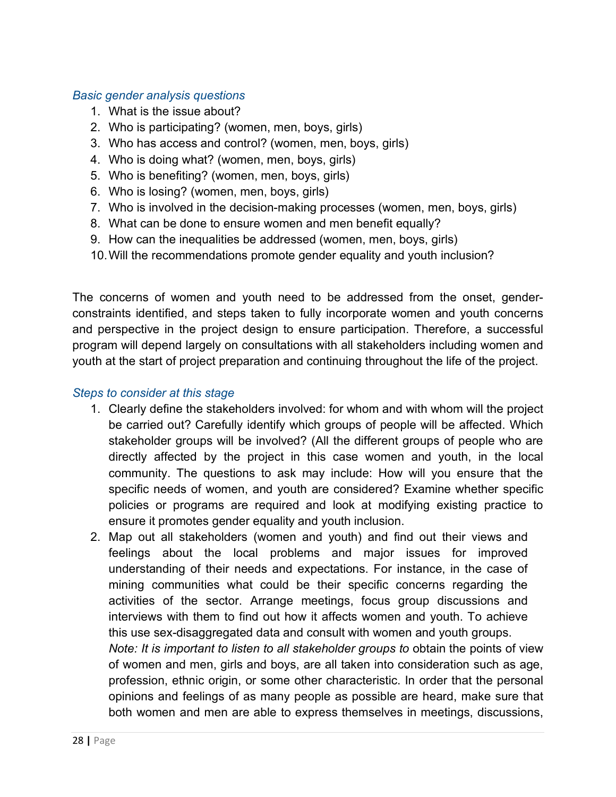#### *Basic gender analysis questions*

- 1. What is the issue about?
- 2. Who is participating? (women, men, boys, girls)
- 3. Who has access and control? (women, men, boys, girls)
- 4. Who is doing what? (women, men, boys, girls)
- 5. Who is benefiting? (women, men, boys, girls)
- 6. Who is losing? (women, men, boys, girls)
- 7. Who is involved in the decision-making processes (women, men, boys, girls)
- 8. What can be done to ensure women and men benefit equally?
- 9. How can the inequalities be addressed (women, men, boys, girls)
- 10. Will the recommendations promote gender equality and youth inclusion?

The concerns of women and youth need to be addressed from the onset, genderconstraints identified, and steps taken to fully incorporate women and youth concerns and perspective in the project design to ensure participation. Therefore, a successful program will depend largely on consultations with all stakeholders including women and youth at the start of project preparation and continuing throughout the life of the project.

#### *Steps to consider at this stage*

- 1. Clearly define the stakeholders involved: for whom and with whom will the project be carried out? Carefully identify which groups of people will be affected. Which stakeholder groups will be involved? (All the different groups of people who are directly affected by the project in this case women and youth, in the local community. The questions to ask may include: How will you ensure that the specific needs of women, and youth are considered? Examine whether specific policies or programs are required and look at modifying existing practice to ensure it promotes gender equality and youth inclusion.
- 2. Map out all stakeholders (women and youth) and find out their views and feelings about the local problems and major issues for improved understanding of their needs and expectations. For instance, in the case of mining communities what could be their specific concerns regarding the activities of the sector. Arrange meetings, focus group discussions and interviews with them to find out how it affects women and youth. To achieve this use sex-disaggregated data and consult with women and youth groups. *Note: It is important to listen to all stakeholder groups to obtain the points of view* of women and men, girls and boys, are all taken into consideration such as age, profession, ethnic origin, or some other characteristic. In order that the personal opinions and feelings of as many people as possible are heard, make sure that

both women and men are able to express themselves in meetings, discussions,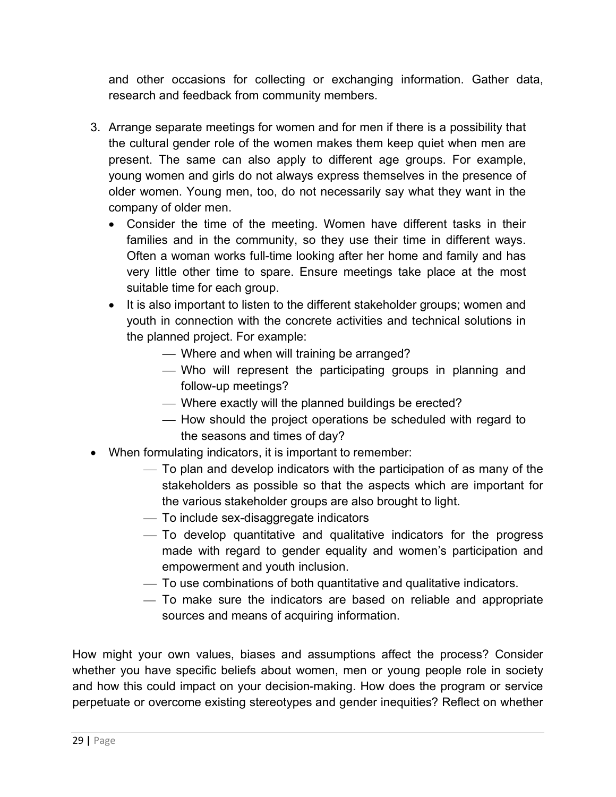and other occasions for collecting or exchanging information. Gather data, research and feedback from community members.

- 3. Arrange separate meetings for women and for men if there is a possibility that the cultural gender role of the women makes them keep quiet when men are present. The same can also apply to different age groups. For example, young women and girls do not always express themselves in the presence of older women. Young men, too, do not necessarily say what they want in the company of older men.
	- Consider the time of the meeting. Women have different tasks in their families and in the community, so they use their time in different ways. Often a woman works full-time looking after her home and family and has very little other time to spare. Ensure meetings take place at the most suitable time for each group.
	- It is also important to listen to the different stakeholder groups; women and youth in connection with the concrete activities and technical solutions in the planned project. For example:
		- Where and when will training be arranged?
		- ¾ Who will represent the participating groups in planning and follow-up meetings?
		- Where exactly will the planned buildings be erected?
		- ¾ How should the project operations be scheduled with regard to the seasons and times of day?
- When formulating indicators, it is important to remember:
	- ¾ To plan and develop indicators with the participation of as many of the stakeholders as possible so that the aspects which are important for the various stakeholder groups are also brought to light.
	- $-$  To include sex-disaggregate indicators
	- ¾ To develop quantitative and qualitative indicators for the progress made with regard to gender equality and women's participation and empowerment and youth inclusion.
	- ¾ To use combinations of both quantitative and qualitative indicators.
	- ¾ To make sure the indicators are based on reliable and appropriate sources and means of acquiring information.

How might your own values, biases and assumptions affect the process? Consider whether you have specific beliefs about women, men or young people role in society and how this could impact on your decision-making. How does the program or service perpetuate or overcome existing stereotypes and gender inequities? Reflect on whether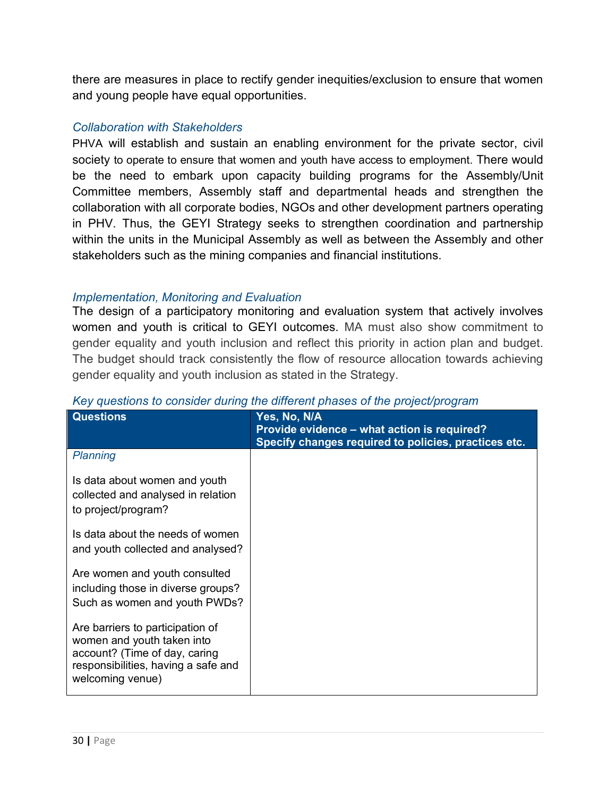there are measures in place to rectify gender inequities/exclusion to ensure that women and young people have equal opportunities.

#### *Collaboration with Stakeholders*

PHVA will establish and sustain an enabling environment for the private sector, civil society to operate to ensure that women and youth have access to employment. There would be the need to embark upon capacity building programs for the Assembly/Unit Committee members, Assembly staff and departmental heads and strengthen the collaboration with all corporate bodies, NGOs and other development partners operating in PHV. Thus, the GEYI Strategy seeks to strengthen coordination and partnership within the units in the Municipal Assembly as well as between the Assembly and other stakeholders such as the mining companies and financial institutions.

#### *Implementation, Monitoring and Evaluation*

The design of a participatory monitoring and evaluation system that actively involves women and youth is critical to GEYI outcomes. MA must also show commitment to gender equality and youth inclusion and reflect this priority in action plan and budget. The budget should track consistently the flow of resource allocation towards achieving gender equality and youth inclusion as stated in the Strategy.

| <b>Questions</b>                                                                                                                                           | Yes, No, N/A<br>Provide evidence – what action is required?<br>Specify changes required to policies, practices etc. |
|------------------------------------------------------------------------------------------------------------------------------------------------------------|---------------------------------------------------------------------------------------------------------------------|
| Planning                                                                                                                                                   |                                                                                                                     |
| Is data about women and youth<br>collected and analysed in relation<br>to project/program?                                                                 |                                                                                                                     |
| Is data about the needs of women<br>and youth collected and analysed?                                                                                      |                                                                                                                     |
| Are women and youth consulted<br>including those in diverse groups?<br>Such as women and youth PWDs?                                                       |                                                                                                                     |
| Are barriers to participation of<br>women and youth taken into<br>account? (Time of day, caring<br>responsibilities, having a safe and<br>welcoming venue) |                                                                                                                     |

#### *Key questions to consider during the different phases of the project/program*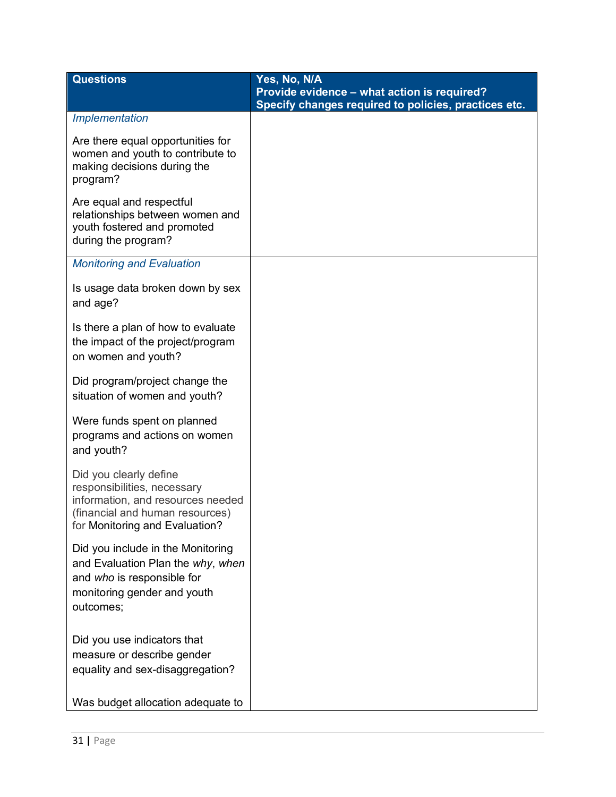| <b>Questions</b>                                                                                                                                                | Yes, No, N/A<br>Provide evidence - what action is required?<br>Specify changes required to policies, practices etc. |
|-----------------------------------------------------------------------------------------------------------------------------------------------------------------|---------------------------------------------------------------------------------------------------------------------|
| Implementation                                                                                                                                                  |                                                                                                                     |
| Are there equal opportunities for<br>women and youth to contribute to<br>making decisions during the<br>program?                                                |                                                                                                                     |
| Are equal and respectful<br>relationships between women and<br>youth fostered and promoted<br>during the program?                                               |                                                                                                                     |
| <b>Monitoring and Evaluation</b>                                                                                                                                |                                                                                                                     |
| Is usage data broken down by sex<br>and age?                                                                                                                    |                                                                                                                     |
| Is there a plan of how to evaluate<br>the impact of the project/program<br>on women and youth?                                                                  |                                                                                                                     |
| Did program/project change the<br>situation of women and youth?                                                                                                 |                                                                                                                     |
| Were funds spent on planned<br>programs and actions on women<br>and youth?                                                                                      |                                                                                                                     |
| Did you clearly define<br>responsibilities, necessary<br>information, and resources needed<br>(financial and human resources)<br>for Monitoring and Evaluation? |                                                                                                                     |
| Did you include in the Monitoring<br>and Evaluation Plan the why, when<br>and who is responsible for<br>monitoring gender and youth<br>outcomes;                |                                                                                                                     |
| Did you use indicators that<br>measure or describe gender<br>equality and sex-disaggregation?                                                                   |                                                                                                                     |
| Was budget allocation adequate to                                                                                                                               |                                                                                                                     |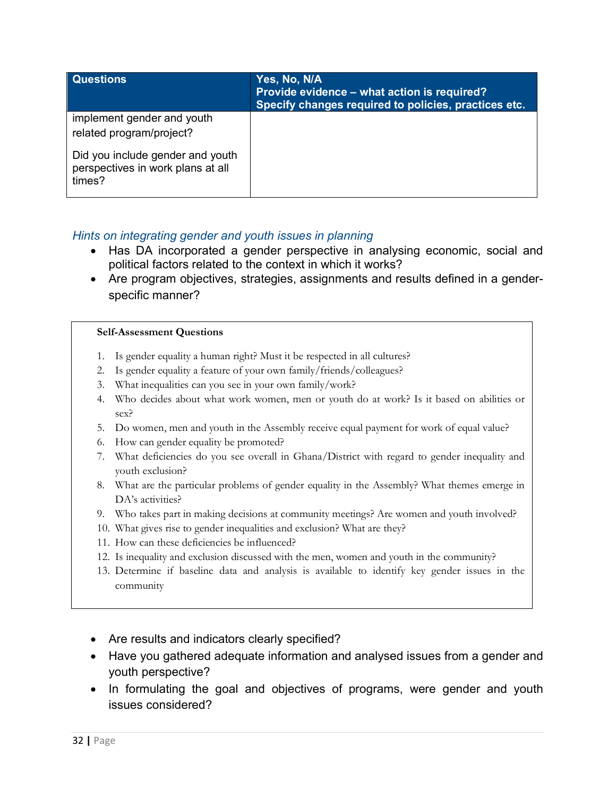| Questions                                                                       | Yes, No, N/A<br>Provide evidence - what action is required?<br>Specify changes required to policies, practices etc. |
|---------------------------------------------------------------------------------|---------------------------------------------------------------------------------------------------------------------|
| implement gender and youth<br>related program/project?                          |                                                                                                                     |
| Did you include gender and youth<br>perspectives in work plans at all<br>times? |                                                                                                                     |

#### *Hints on integrating gender and youth issues in planning*

- Has DA incorporated a gender perspective in analysing economic, social and political factors related to the context in which it works?
- Are program objectives, strategies, assignments and results defined in a genderspecific manner?

#### **Self-Assessment Questions**

- 1. Is gender equality a human right? Must it be respected in all cultures?
- 2. Is gender equality a feature of your own family/friends/colleagues?
- 3. What inequalities can you see in your own family/work?
- 4. Who decides about what work women, men or youth do at work? Is it based on abilities or sex?
- 5. Do women, men and youth in the Assembly receive equal payment for work of equal value?
- 6. How can gender equality be promoted?
- 7. What deficiencies do you see overall in Ghana/District with regard to gender inequality and youth exclusion?
- 8. What are the particular problems of gender equality in the Assembly? What themes emerge in DA's activities?
- 9. Who takes part in making decisions at community meetings? Are women and youth involved?
- 10. What gives rise to gender inequalities and exclusion? What are they?
- 11. How can these deficiencies be influenced?
- 12. Is inequality and exclusion discussed with the men, women and youth in the community?
- 13. Determine if baseline data and analysis is available to identify key gender issues in the community
- Are results and indicators clearly specified?
- Have you gathered adequate information and analysed issues from a gender and youth perspective?
- In formulating the goal and objectives of programs, were gender and youth issues considered?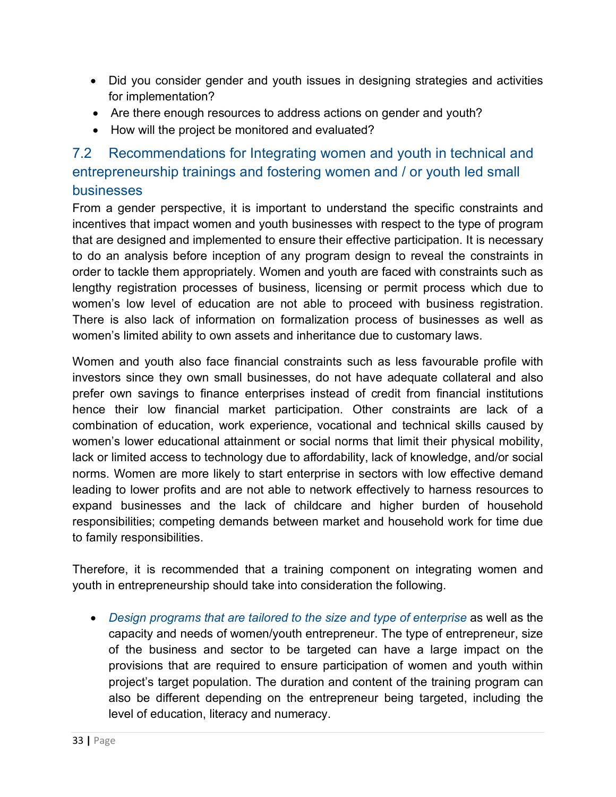- Did you consider gender and youth issues in designing strategies and activities for implementation?
- Are there enough resources to address actions on gender and youth?
- How will the project be monitored and evaluated?

## 7.2 Recommendations for Integrating women and youth in technical and entrepreneurship trainings and fostering women and / or youth led small businesses

From a gender perspective, it is important to understand the specific constraints and incentives that impact women and youth businesses with respect to the type of program that are designed and implemented to ensure their effective participation. It is necessary to do an analysis before inception of any program design to reveal the constraints in order to tackle them appropriately. Women and youth are faced with constraints such as lengthy registration processes of business, licensing or permit process which due to women's low level of education are not able to proceed with business registration. There is also lack of information on formalization process of businesses as well as women's limited ability to own assets and inheritance due to customary laws.

Women and youth also face financial constraints such as less favourable profile with investors since they own small businesses, do not have adequate collateral and also prefer own savings to finance enterprises instead of credit from financial institutions hence their low financial market participation. Other constraints are lack of a combination of education, work experience, vocational and technical skills caused by women's lower educational attainment or social norms that limit their physical mobility, lack or limited access to technology due to affordability, lack of knowledge, and/or social norms. Women are more likely to start enterprise in sectors with low effective demand leading to lower profits and are not able to network effectively to harness resources to expand businesses and the lack of childcare and higher burden of household responsibilities; competing demands between market and household work for time due to family responsibilities.

Therefore, it is recommended that a training component on integrating women and youth in entrepreneurship should take into consideration the following.

• *Design programs that are tailored to the size and type of enterprise* as well as the capacity and needs of women/youth entrepreneur. The type of entrepreneur, size of the business and sector to be targeted can have a large impact on the provisions that are required to ensure participation of women and youth within project's target population. The duration and content of the training program can also be different depending on the entrepreneur being targeted, including the level of education, literacy and numeracy.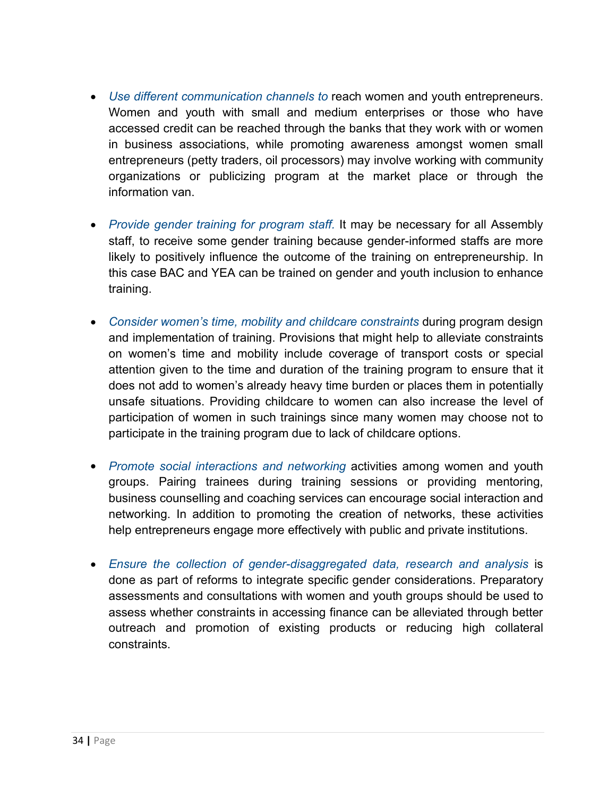- *Use different communication channels to* reach women and youth entrepreneurs. Women and youth with small and medium enterprises or those who have accessed credit can be reached through the banks that they work with or women in business associations, while promoting awareness amongst women small entrepreneurs (petty traders, oil processors) may involve working with community organizations or publicizing program at the market place or through the information van.
- *Provide gender training for program staff.* It may be necessary for all Assembly staff, to receive some gender training because gender-informed staffs are more likely to positively influence the outcome of the training on entrepreneurship. In this case BAC and YEA can be trained on gender and youth inclusion to enhance training.
- *Consider women's time, mobility and childcare constraints* during program design and implementation of training. Provisions that might help to alleviate constraints on women's time and mobility include coverage of transport costs or special attention given to the time and duration of the training program to ensure that it does not add to women's already heavy time burden or places them in potentially unsafe situations. Providing childcare to women can also increase the level of participation of women in such trainings since many women may choose not to participate in the training program due to lack of childcare options.
- *Promote social interactions and networking* activities among women and youth groups. Pairing trainees during training sessions or providing mentoring, business counselling and coaching services can encourage social interaction and networking. In addition to promoting the creation of networks, these activities help entrepreneurs engage more effectively with public and private institutions.
- *Ensure the collection of gender-disaggregated data, research and analysis* is done as part of reforms to integrate specific gender considerations. Preparatory assessments and consultations with women and youth groups should be used to assess whether constraints in accessing finance can be alleviated through better outreach and promotion of existing products or reducing high collateral constraints.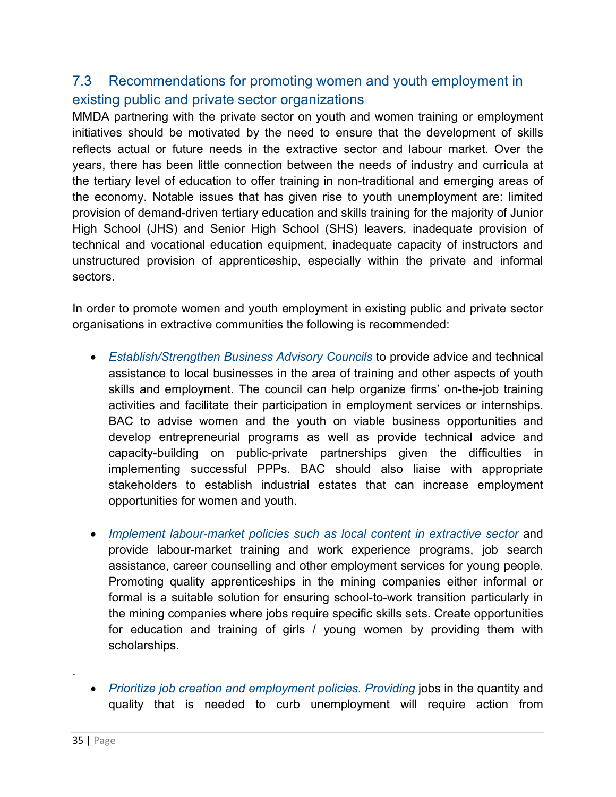### 7.3 Recommendations for promoting women and youth employment in existing public and private sector organizations

MMDA partnering with the private sector on youth and women training or employment initiatives should be motivated by the need to ensure that the development of skills reflects actual or future needs in the extractive sector and labour market. Over the years, there has been little connection between the needs of industry and curricula at the tertiary level of education to offer training in non-traditional and emerging areas of the economy. Notable issues that has given rise to youth unemployment are: limited provision of demand-driven tertiary education and skills training for the majority of Junior High School (JHS) and Senior High School (SHS) leavers, inadequate provision of technical and vocational education equipment, inadequate capacity of instructors and unstructured provision of apprenticeship, especially within the private and informal sectors.

In order to promote women and youth employment in existing public and private sector organisations in extractive communities the following is recommended:

- *Establish/Strengthen Business Advisory Councils* to provide advice and technical assistance to local businesses in the area of training and other aspects of youth skills and employment. The council can help organize firms' on-the-job training activities and facilitate their participation in employment services or internships. BAC to advise women and the youth on viable business opportunities and develop entrepreneurial programs as well as provide technical advice and capacity-building on public-private partnerships given the difficulties in implementing successful PPPs. BAC should also liaise with appropriate stakeholders to establish industrial estates that can increase employment opportunities for women and youth.
- *Implement labour-market policies such as local content in extractive sector* and provide labour-market training and work experience programs, job search assistance, career counselling and other employment services for young people. Promoting quality apprenticeships in the mining companies either informal or formal is a suitable solution for ensuring school-to-work transition particularly in the mining companies where jobs require specific skills sets. Create opportunities for education and training of girls / young women by providing them with scholarships.
- *Prioritize job creation and employment policies. Providing* jobs in the quantity and quality that is needed to curb unemployment will require action from

.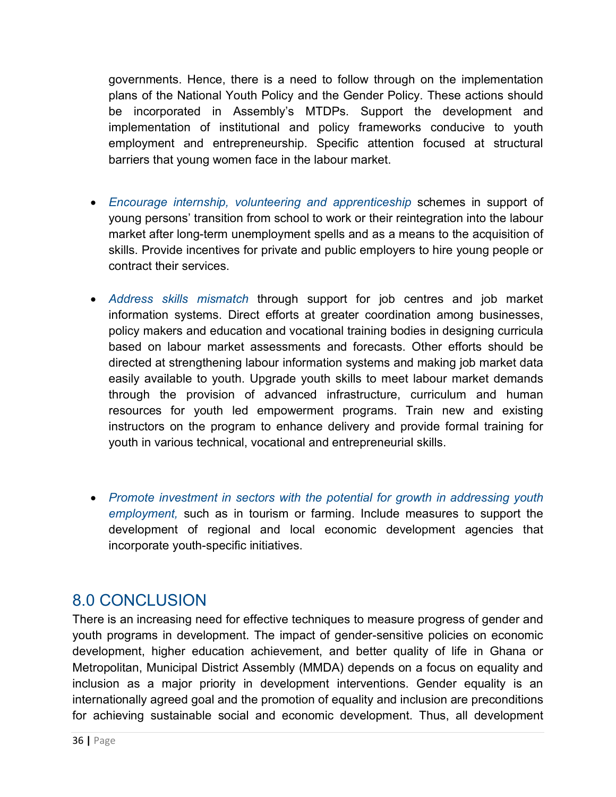governments. Hence, there is a need to follow through on the implementation plans of the National Youth Policy and the Gender Policy. These actions should be incorporated in Assembly's MTDPs. Support the development and implementation of institutional and policy frameworks conducive to youth employment and entrepreneurship. Specific attention focused at structural barriers that young women face in the labour market.

- *Encourage internship, volunteering and apprenticeship* schemes in support of young persons' transition from school to work or their reintegration into the labour market after long-term unemployment spells and as a means to the acquisition of skills. Provide incentives for private and public employers to hire young people or contract their services.
- *Address skills mismatch* through support for job centres and job market information systems. Direct efforts at greater coordination among businesses, policy makers and education and vocational training bodies in designing curricula based on labour market assessments and forecasts. Other efforts should be directed at strengthening labour information systems and making job market data easily available to youth. Upgrade youth skills to meet labour market demands through the provision of advanced infrastructure, curriculum and human resources for youth led empowerment programs. Train new and existing instructors on the program to enhance delivery and provide formal training for youth in various technical, vocational and entrepreneurial skills.
- *Promote investment in sectors with the potential for growth in addressing youth employment,* such as in tourism or farming. Include measures to support the development of regional and local economic development agencies that incorporate youth-specific initiatives.

# 8.0 CONCLUSION

There is an increasing need for effective techniques to measure progress of gender and youth programs in development. The impact of gender-sensitive policies on economic development, higher education achievement, and better quality of life in Ghana or Metropolitan, Municipal District Assembly (MMDA) depends on a focus on equality and inclusion as a major priority in development interventions. Gender equality is an internationally agreed goal and the promotion of equality and inclusion are preconditions for achieving sustainable social and economic development. Thus, all development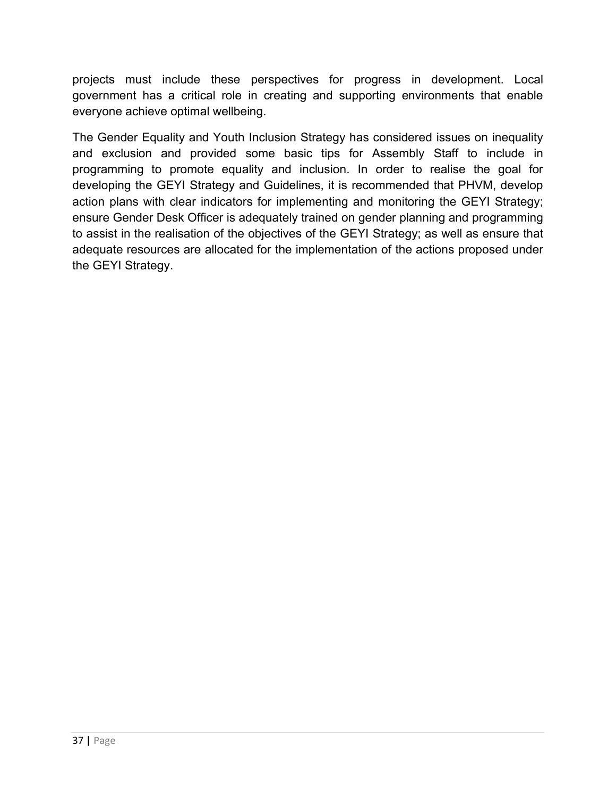projects must include these perspectives for progress in development. Local government has a critical role in creating and supporting environments that enable everyone achieve optimal wellbeing.

The Gender Equality and Youth Inclusion Strategy has considered issues on inequality and exclusion and provided some basic tips for Assembly Staff to include in programming to promote equality and inclusion. In order to realise the goal for developing the GEYI Strategy and Guidelines, it is recommended that PHVM, develop action plans with clear indicators for implementing and monitoring the GEYI Strategy; ensure Gender Desk Officer is adequately trained on gender planning and programming to assist in the realisation of the objectives of the GEYI Strategy; as well as ensure that adequate resources are allocated for the implementation of the actions proposed under the GEYI Strategy.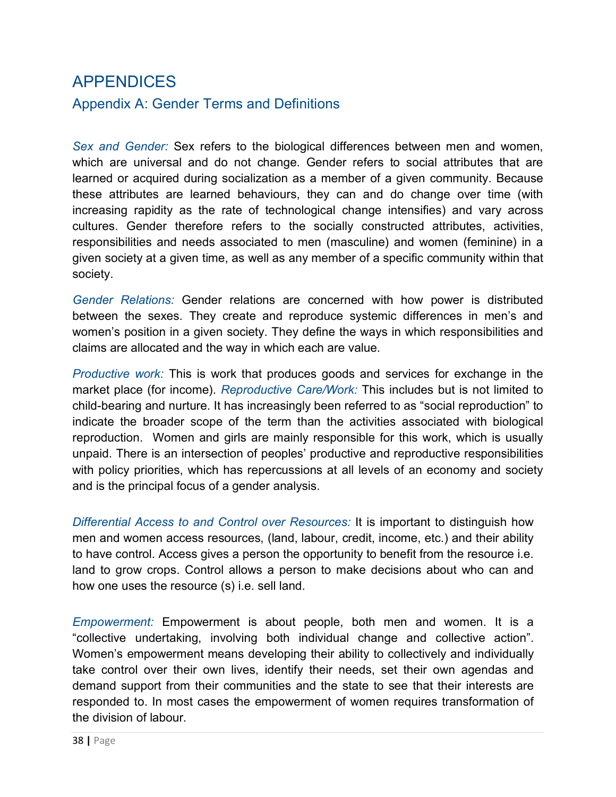# APPENDICES Appendix A: Gender Terms and Definitions

*Sex and Gender:* Sex refers to the biological differences between men and women, which are universal and do not change. Gender refers to social attributes that are learned or acquired during socialization as a member of a given community. Because these attributes are learned behaviours, they can and do change over time (with increasing rapidity as the rate of technological change intensifies) and vary across cultures. Gender therefore refers to the socially constructed attributes, activities, responsibilities and needs associated to men (masculine) and women (feminine) in a given society at a given time, as well as any member of a specific community within that society.

*Gender Relations:* Gender relations are concerned with how power is distributed between the sexes. They create and reproduce systemic differences in men's and women's position in a given society. They define the ways in which responsibilities and claims are allocated and the way in which each are value.

*Productive work:* This is work that produces goods and services for exchange in the market place (for income). *Reproductive Care/Work:* This includes but is not limited to child-bearing and nurture. It has increasingly been referred to as "social reproduction" to indicate the broader scope of the term than the activities associated with biological reproduction. Women and girls are mainly responsible for this work, which is usually unpaid. There is an intersection of peoples' productive and reproductive responsibilities with policy priorities, which has repercussions at all levels of an economy and society and is the principal focus of a gender analysis.

*Differential Access to and Control over Resources:* It is important to distinguish how men and women access resources, (land, labour, credit, income, etc.) and their ability to have control. Access gives a person the opportunity to benefit from the resource i.e. land to grow crops. Control allows a person to make decisions about who can and how one uses the resource (s) i.e. sell land.

*Empowerment:* Empowerment is about people, both men and women. It is a "collective undertaking, involving both individual change and collective action". Women's empowerment means developing their ability to collectively and individually take control over their own lives, identify their needs, set their own agendas and demand support from their communities and the state to see that their interests are responded to. In most cases the empowerment of women requires transformation of the division of labour.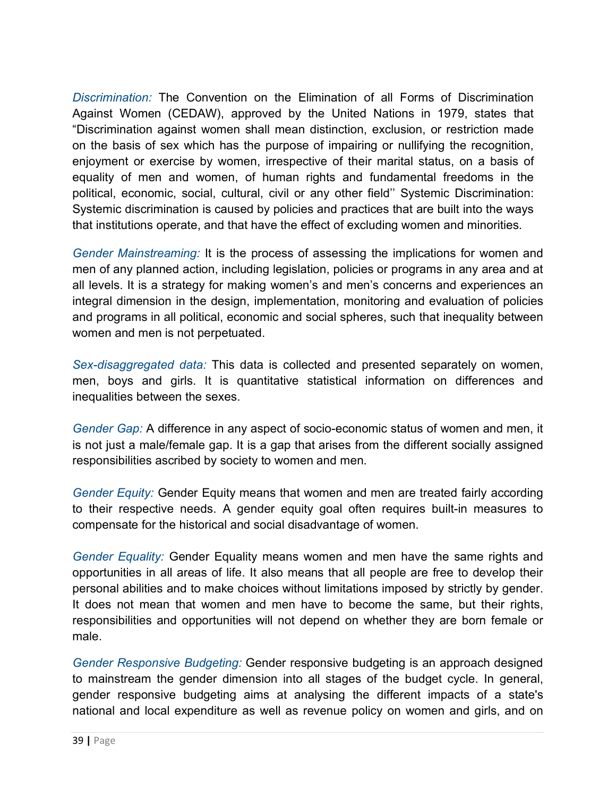*Discrimination:* The Convention on the Elimination of all Forms of Discrimination Against Women (CEDAW), approved by the United Nations in 1979, states that "Discrimination against women shall mean distinction, exclusion, or restriction made on the basis of sex which has the purpose of impairing or nullifying the recognition, enjoyment or exercise by women, irrespective of their marital status, on a basis of equality of men and women, of human rights and fundamental freedoms in the political, economic, social, cultural, civil or any other field'' Systemic Discrimination: Systemic discrimination is caused by policies and practices that are built into the ways that institutions operate, and that have the effect of excluding women and minorities.

*Gender Mainstreaming:* It is the process of assessing the implications for women and men of any planned action, including legislation, policies or programs in any area and at all levels. It is a strategy for making women's and men's concerns and experiences an integral dimension in the design, implementation, monitoring and evaluation of policies and programs in all political, economic and social spheres, such that inequality between women and men is not perpetuated.

*Sex-disaggregated data:* This data is collected and presented separately on women, men, boys and girls. It is quantitative statistical information on differences and inequalities between the sexes.

*Gender Gap:* A difference in any aspect of socio-economic status of women and men, it is not just a male/female gap. It is a gap that arises from the different socially assigned responsibilities ascribed by society to women and men.

*Gender Equity:* Gender Equity means that women and men are treated fairly according to their respective needs. A gender equity goal often requires built-in measures to compensate for the historical and social disadvantage of women.

*Gender Equality:* Gender Equality means women and men have the same rights and opportunities in all areas of life. It also means that all people are free to develop their personal abilities and to make choices without limitations imposed by strictly by gender. It does not mean that women and men have to become the same, but their rights, responsibilities and opportunities will not depend on whether they are born female or male.

*Gender Responsive Budgeting:* Gender responsive budgeting is an approach designed to mainstream the gender dimension into all stages of the budget cycle. In general, gender responsive budgeting aims at analysing the different impacts of a state's national and local expenditure as well as revenue policy on women and girls, and on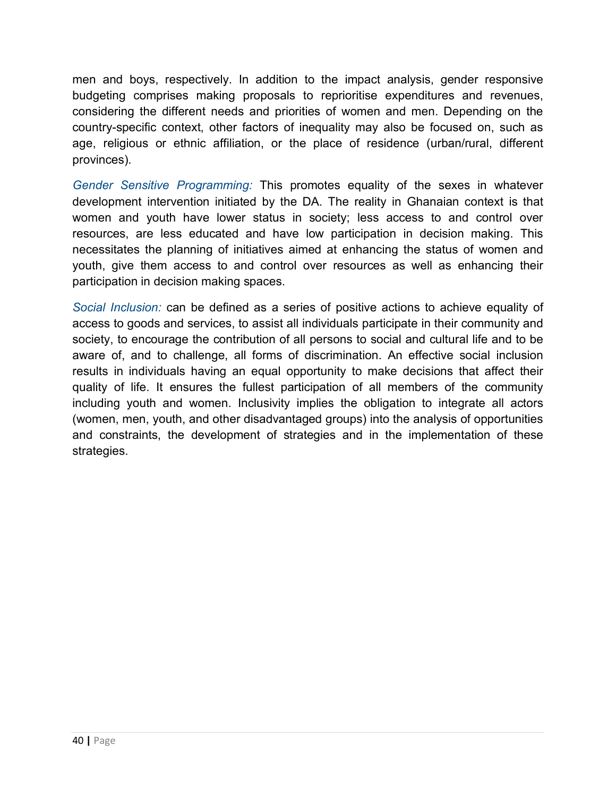men and boys, respectively. In addition to the impact analysis, gender responsive budgeting comprises making proposals to reprioritise expenditures and revenues, considering the different needs and priorities of women and men. Depending on the country-specific context, other factors of inequality may also be focused on, such as age, religious or ethnic affiliation, or the place of residence (urban/rural, different provinces).

*Gender Sensitive Programming:* This promotes equality of the sexes in whatever development intervention initiated by the DA. The reality in Ghanaian context is that women and youth have lower status in society; less access to and control over resources, are less educated and have low participation in decision making. This necessitates the planning of initiatives aimed at enhancing the status of women and youth, give them access to and control over resources as well as enhancing their participation in decision making spaces.

*Social Inclusion:* can be defined as a series of positive actions to achieve equality of access to goods and services, to assist all individuals participate in their community and society, to encourage the contribution of all persons to social and cultural life and to be aware of, and to challenge, all forms of discrimination. An effective social inclusion results in individuals having an equal opportunity to make decisions that affect their quality of life. It ensures the fullest participation of all members of the community including youth and women. Inclusivity implies the obligation to integrate all actors (women, men, youth, and other disadvantaged groups) into the analysis of opportunities and constraints, the development of strategies and in the implementation of these strategies.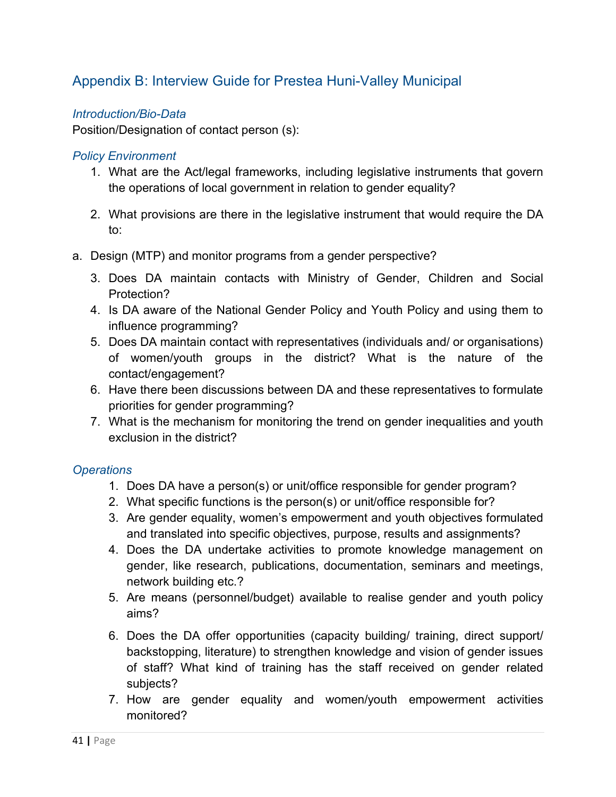### Appendix B: Interview Guide for Prestea Huni-Valley Municipal

#### *Introduction/Bio-Data*

Position/Designation of contact person (s):

#### *Policy Environment*

- 1. What are the Act/legal frameworks, including legislative instruments that govern the operations of local government in relation to gender equality?
- 2. What provisions are there in the legislative instrument that would require the DA to:
- a. Design (MTP) and monitor programs from a gender perspective?
	- 3. Does DA maintain contacts with Ministry of Gender, Children and Social Protection?
	- 4. Is DA aware of the National Gender Policy and Youth Policy and using them to influence programming?
	- 5. Does DA maintain contact with representatives (individuals and/ or organisations) of women/youth groups in the district? What is the nature of the contact/engagement?
	- 6. Have there been discussions between DA and these representatives to formulate priorities for gender programming?
	- 7. What is the mechanism for monitoring the trend on gender inequalities and youth exclusion in the district?

#### *Operations*

- 1. Does DA have a person(s) or unit/office responsible for gender program?
- 2. What specific functions is the person(s) or unit/office responsible for?
- 3. Are gender equality, women's empowerment and youth objectives formulated and translated into specific objectives, purpose, results and assignments?
- 4. Does the DA undertake activities to promote knowledge management on gender, like research, publications, documentation, seminars and meetings, network building etc.?
- 5. Are means (personnel/budget) available to realise gender and youth policy aims?
- 6. Does the DA offer opportunities (capacity building/ training, direct support/ backstopping, literature) to strengthen knowledge and vision of gender issues of staff? What kind of training has the staff received on gender related subjects?
- 7. How are gender equality and women/youth empowerment activities monitored?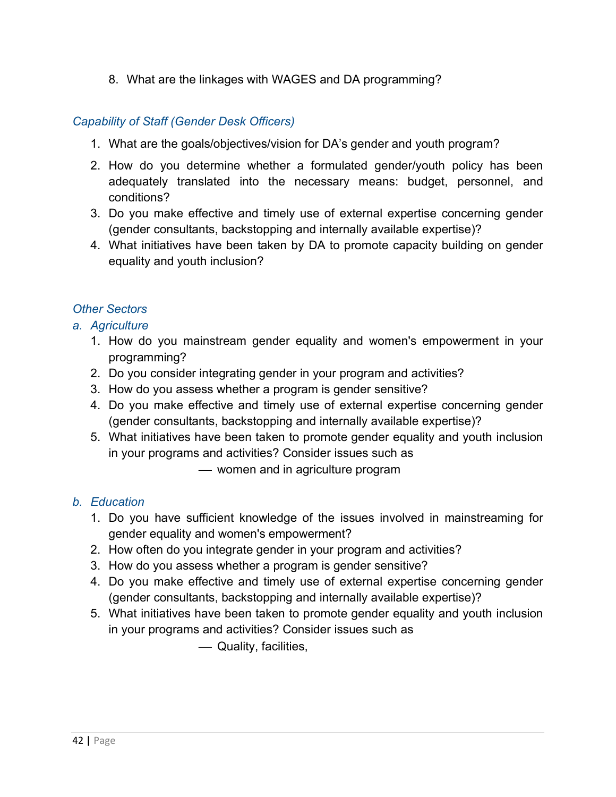8. What are the linkages with WAGES and DA programming?

#### *Capability of Staff (Gender Desk Officers)*

- 1. What are the goals/objectives/vision for DA's gender and youth program?
- 2. How do you determine whether a formulated gender/youth policy has been adequately translated into the necessary means: budget, personnel, and conditions?
- 3. Do you make effective and timely use of external expertise concerning gender (gender consultants, backstopping and internally available expertise)?
- 4. What initiatives have been taken by DA to promote capacity building on gender equality and youth inclusion?

#### *Other Sectors*

- *a. Agriculture* 
	- 1. How do you mainstream gender equality and women's empowerment in your programming?
	- 2. Do you consider integrating gender in your program and activities?
	- 3. How do you assess whether a program is gender sensitive?
	- 4. Do you make effective and timely use of external expertise concerning gender (gender consultants, backstopping and internally available expertise)?
	- 5. What initiatives have been taken to promote gender equality and youth inclusion in your programs and activities? Consider issues such as

— women and in agriculture program

#### *b. Education*

- 1. Do you have sufficient knowledge of the issues involved in mainstreaming for gender equality and women's empowerment?
- 2. How often do you integrate gender in your program and activities?
- 3. How do you assess whether a program is gender sensitive?
- 4. Do you make effective and timely use of external expertise concerning gender (gender consultants, backstopping and internally available expertise)?
- 5. What initiatives have been taken to promote gender equality and youth inclusion in your programs and activities? Consider issues such as

¾ Quality, facilities,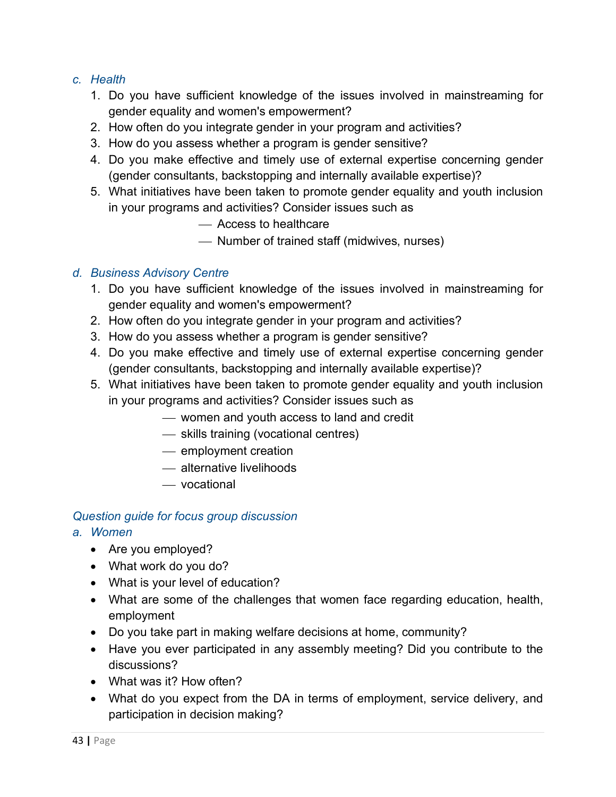#### *c. Health*

- 1. Do you have sufficient knowledge of the issues involved in mainstreaming for gender equality and women's empowerment?
- 2. How often do you integrate gender in your program and activities?
- 3. How do you assess whether a program is gender sensitive?
- 4. Do you make effective and timely use of external expertise concerning gender (gender consultants, backstopping and internally available expertise)?
- 5. What initiatives have been taken to promote gender equality and youth inclusion in your programs and activities? Consider issues such as
	- ¾ Access to healthcare
	- ¾ Number of trained staff (midwives, nurses)

#### *d. Business Advisory Centre*

- 1. Do you have sufficient knowledge of the issues involved in mainstreaming for gender equality and women's empowerment?
- 2. How often do you integrate gender in your program and activities?
- 3. How do you assess whether a program is gender sensitive?
- 4. Do you make effective and timely use of external expertise concerning gender (gender consultants, backstopping and internally available expertise)?
- 5. What initiatives have been taken to promote gender equality and youth inclusion in your programs and activities? Consider issues such as
	- ¾ women and youth access to land and credit
	- $-$  skills training (vocational centres)
	- $-$  employment creation
	- ¾ alternative livelihoods
	- ¾ vocational

#### *Question guide for focus group discussion*

- *a. Women* 
	- Are you employed?
	- What work do you do?
	- What is your level of education?
	- What are some of the challenges that women face regarding education, health, employment
	- Do you take part in making welfare decisions at home, community?
	- Have you ever participated in any assembly meeting? Did you contribute to the discussions?
	- What was it? How often?
	- What do you expect from the DA in terms of employment, service delivery, and participation in decision making?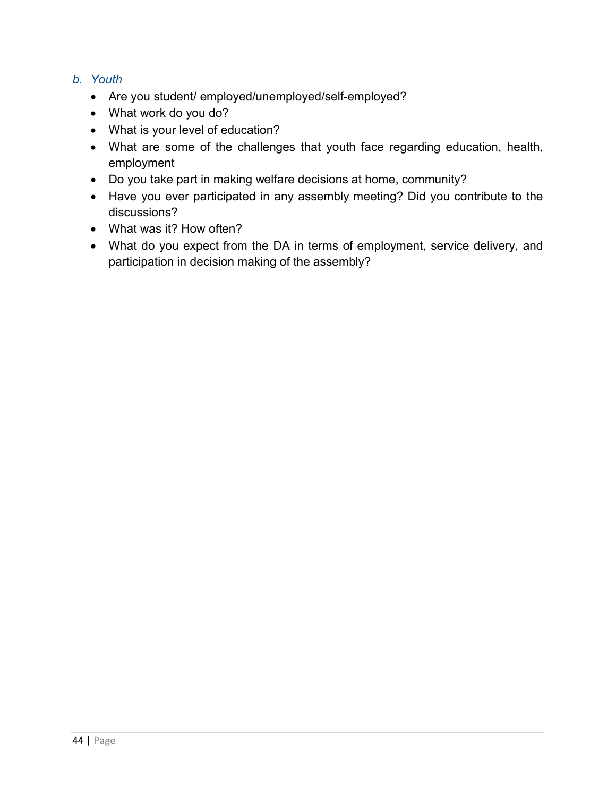#### *b. Youth*

- Are you student/ employed/unemployed/self-employed?
- What work do you do?
- What is your level of education?
- What are some of the challenges that youth face regarding education, health, employment
- Do you take part in making welfare decisions at home, community?
- Have you ever participated in any assembly meeting? Did you contribute to the discussions?
- What was it? How often?
- What do you expect from the DA in terms of employment, service delivery, and participation in decision making of the assembly?